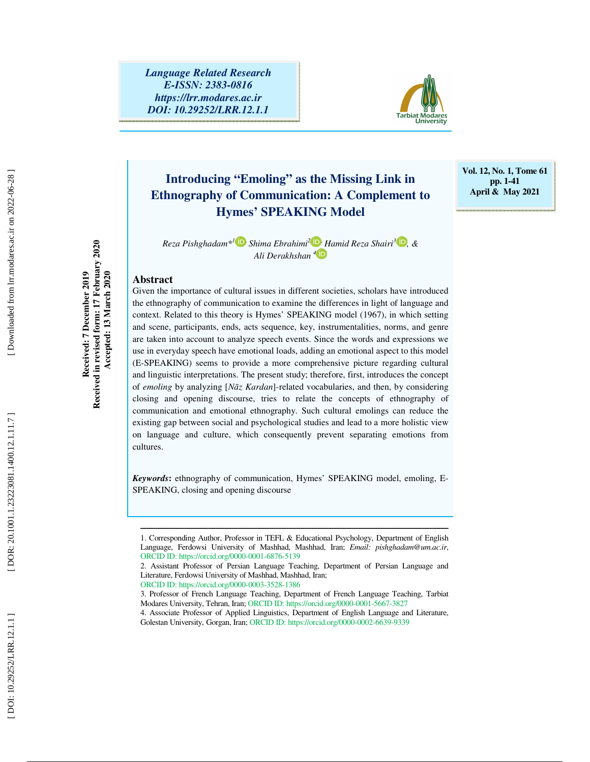

# **Introducing "Emoling" as the Missing Link in Ethnography of Communication: A Complement to Hymes' SPEAKING Model**

**Vol. 12, No. 1, Tome 61 pp. 1-41 April & May 2021** 

*Reza Pishghadam\* <sup>1</sup> , Shima Ebrahimi <sup>2</sup> , Hamid Reza Shairi 3 , & Ali Derakhshan 4*

#### **Abstract**

**Received: 7 December 2019 Received in revised form: 17 February 2020 Accepted: 13 March 2020** 

Received in revised form: 17 February 2020 Received: 7 December 2019

Accepted: 13 March 2020

Given the importance of cultural issues in different societies, scholars have introduced the ethnography of communication to examine the differences in light of language and context. Related to this theory is Hymes' SPEAKING model (1967), in which setting and scene, participants, ends, acts sequence, key, instrumentalities, norms, and genre are taken into account to analyze speech events. Since the words and expressions we use in everyday speech have emotional loads, adding an emotional aspect to this model (E-SPEAKING) seems to provide a more comprehensive picture regarding cultural and linguistic interpretations. The present study; therefore, first, introduces the concept of *emoling* by analyzing [ *N*ā*z Kardan*]-related vocabularies, and then, by considering closing and opening discourse, tries to relate the concepts of ethnography of communication and emotional ethnography. Such cultural emolings can reduce the existing gap between social and psychological studies and lead to a more holistic view on language and culture, which consequently prevent separating emotions from cultures.

*Keywords* **:** ethnography of communication, Hymes' SPEAKING model, emoling, E-SPEAKING, closing and opening discourse

ــــــــــــــــــــــــــــــــــــــــــــــــــــــــــــــــــــــــــــــــــــــــــــــــــــــــــــــــــــــــــــــــــــــــــ

<sup>1.</sup> Corresponding Author, Professor in TEFL & Educational Psychology, Department of English Language, Ferdowsi University of Mashhad, Mashhad, Iran; *Email: pishghadam@um.ac.ir*, ORCID ID: https://orcid.org/0000-0001-6876-5139

<sup>2.</sup> Assistant Professor of Persian Language Teaching, Department of Persian Language and Literature, Ferdowsi University of Mashhad, Mashhad, Iran;

ORCID ID: https://orcid.org/0000-0003-3528-1386

<sup>3.</sup> Professor of French Language Teaching, Department of French Language Teaching, Tarbiat Modares University, Tehran, Iran; ORCID ID: https://orcid.org/0000-0001-5667-3827

<sup>4.</sup> Associate Professor of Applied Linguistics, Department of English Language and Literature, Golestan University, Gorgan, Iran; ORCID ID: https://orcid.org/0000-0002-6639-9339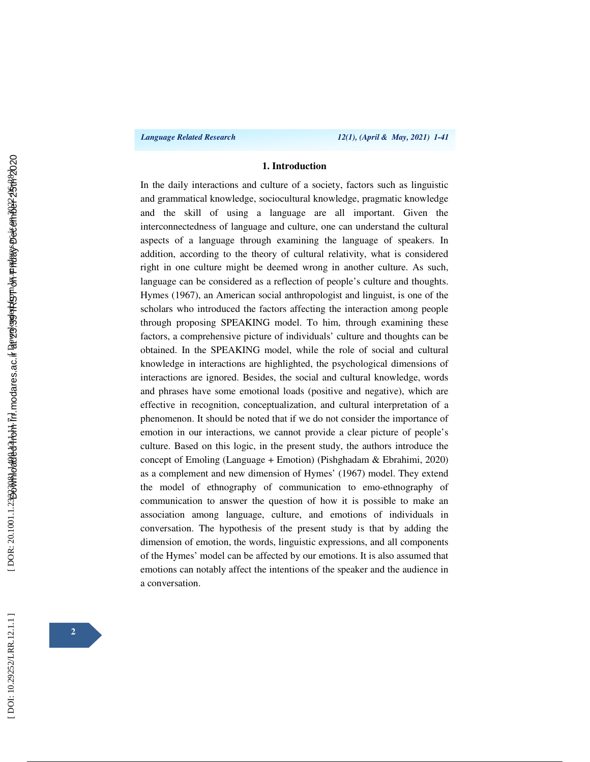#### **1. Introduction**

In the daily interactions and culture of a society, factors such as linguistic and grammatical knowledge, sociocultural knowledge, pragmatic knowledge and the skill of using a language are all important. Given the interconnectedness of language and culture, one can understand the cultural aspects of a language through examining the language of speakers. In addition, according to the theory of cultural relativity, what is considered right in one culture might be deemed wrong in another culture. As such, language can be considered as a reflection of people's culture and thoughts. Hymes (1967), an American social anthropologist and linguist, is one of the scholars who introduced the factors affecting the interaction among people through proposing SPEAKING model. To him, through examining these factors, a comprehensive picture of individuals' culture and thoughts can be obtained. In the SPEAKING model, while the role of social and cultural knowledge in interactions are highlighted, the psychological dimensions of interactions are ignored. Besides, the social and cultural knowledge, words and phrases have some emotional loads (positive and negative), which are effective in recognition, conceptualization, and cultural interpretation of a phenomenon. It should be noted that if we do not consider the importance of emotion in our interactions, we cannot provide a clear picture of people's culture. Based on this logic, in the present study, the authors introduce the concept of Emoling (Language + Emotion) (Pishghadam & Ebrahimi, 2020) as a complement and new dimension of Hymes' (1967) model. They extend the model of ethnography of communication to emo-ethnography of communication to answer the question of how it is possible to make an association among language, culture, and emotions of individuals in conversation. The hypothesis of the present study is that by adding the dimension of emotion, the words, linguistic expressions, and all components of the Hymes' model can be affected by our emotions. It is also assumed that emotions can notably affect the intentions of the speaker and the audience in a conversation.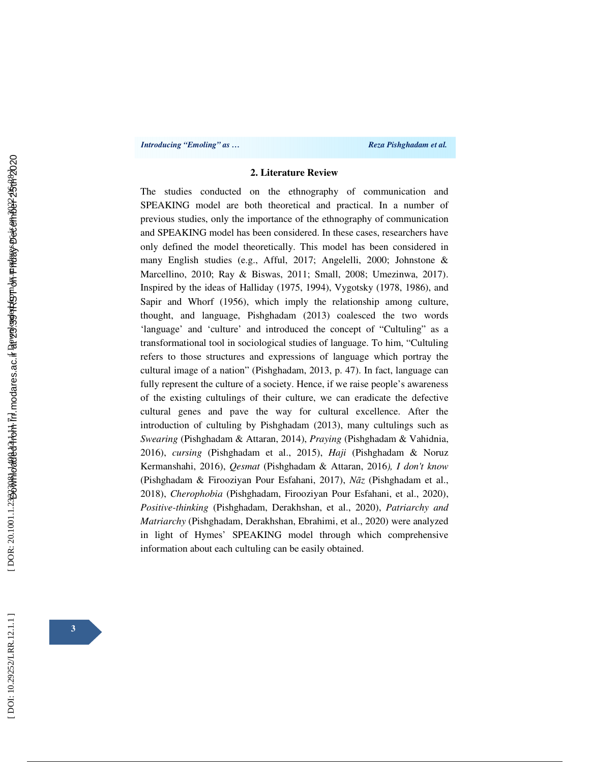#### **2. Literature Review**

The studies conducted on the ethnography of communication and SPEAKING model are both theoretical and practical. In a number of previous studies, only the importance of the ethnography of communication and SPEAKING model has been considered. In these cases, researchers have only defined the model theoretically. This model has been considered in many English studies (e.g., Afful, 2017; Angelelli, 2000; Johnstone & Marcellino, 2010; Ray & Biswas, 2011; Small, 2008; Umezinwa, 2017). Inspired by the ideas of Halliday (1975, 1994), Vygotsky (1978, 1986), and Sapir and Whorf (1956), which imply the relationship among culture, thought, and language, Pishghadam (2013) coalesced the two words 'language' and 'culture' and introduced the concept of "Cultuling" as a transformational tool in sociological studies of language. To him, "Cultuling refers to those structures and expressions of language which portray the cultural image of a nation" (Pishghadam, 2013, p. 47). In fact, language can fully represent the culture of a society. Hence, if we raise people's awareness of the existing cultulings of their culture, we can eradicate the defective cultural genes and pave the way for cultural excellence. After the introduction of cultuling by Pishghadam (2013), many cultulings such as *Swearing* (Pishghadam & Attaran, 2014), *Praying* (Pishghadam & Vahidnia, 2016), *cursing* (Pishghadam et al., 2015), *Haji* (Pishghadam & Noruz Kermanshahi, 2016), *Qesmat* (Pishghadam & Attaran, 2016*), I don't know* (Pishghadam & Firooziyan Pour Esfahani, 2017), *N*ā*z* (Pishghadam et al., 2018), *Cherophobia* (Pishghadam, Firooziyan Pour Esfahani, et al., 2020), *Positive-thinking* (Pishghadam, Derakhshan, et al., 2020), *Patriarchy and Matriarchy* (Pishghadam, Derakhshan, Ebrahimi, et al., 2020) were analyzed in light of Hymes' SPEAKING model through which comprehensive information about each cultuling can be easily obtained.

DOI: 10.29252/LRR.12.1.1]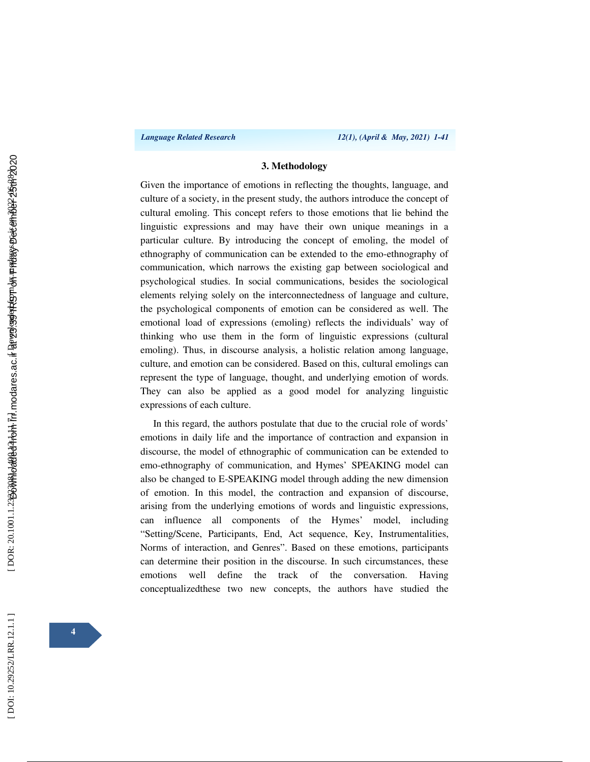#### **3. Methodology**

Given the importance of emotions in reflecting the thoughts, language, and culture of a society, in the present study, the authors introduce the concept of cultural emoling. This concept refers to those emotions that lie behind the linguistic expressions and may have their own unique meanings in a particular culture. By introducing the concept of emoling, the model of ethnography of communication can be extended to the emo-ethnography of communication, which narrows the existing gap between sociological and psychological studies. In social communications, besides the sociological elements relying solely on the interconnectedness of language and culture, the psychological components of emotion can be considered as well. The emotional load of expressions (emoling) reflects the individuals' way of thinking who use them in the form of linguistic expressions (cultural emoling). Thus, in discourse analysis, a holistic relation among language, culture, and emotion can be considered. Based on this, cultural emolings can represent the type of language, thought, and underlying emotion of words. They can also be applied as a good model for analyzing linguistic expressions of each culture.

In this regard, the authors postulate that due to the crucial role of words' emotions in daily life and the importance of contraction and expansion in discourse, the model of ethnographic of communication can be extended to emo-ethnography of communication, and Hymes' SPEAKING model can also be changed to E-SPEAKING model through adding the new dimension of emotion. In this model, the contraction and expansion of discourse, arising from the underlying emotions of words and linguistic expressions, can influence all components of the Hymes' model, including "Setting/Scene, Participants, End, Act sequence, Key, Instrumentalities, Norms of interaction, and Genres". Based on these emotions, participants can determine their position in the discourse. In such circumstances, these emotions well define the track of the conversation. Having conceptualizedthese two new concepts, the authors have studied the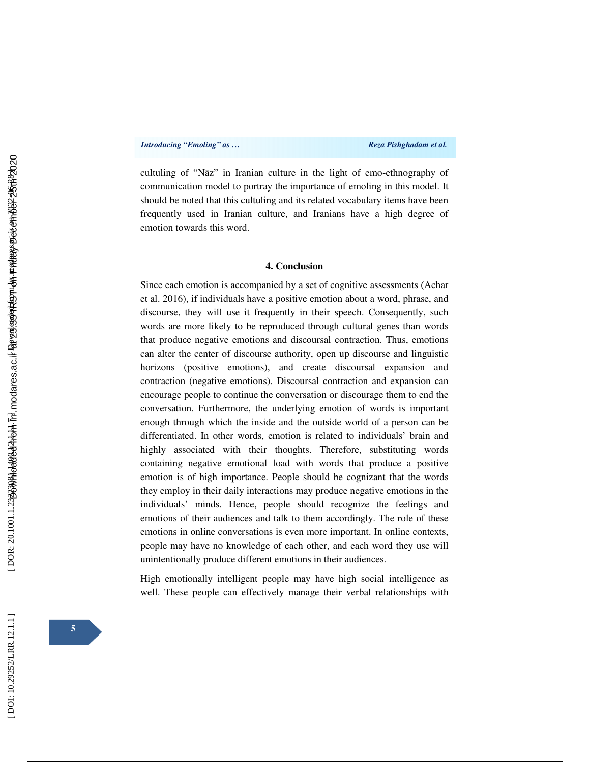cultuling of "N āz" in Iranian culture in the light of emo-ethnography of communication model to portray the importance of emoling in this model. It should be noted that this cultuling and its related vocabulary items have been frequently used in Iranian culture, and Iranians have a high degree of emotion towards this word.

#### **4. Conclusion**

Since each emotion is accompanied by a set of cognitive assessments (Achar et al. 2016), if individuals have a positive emotion about a word, phrase, and discourse, they will use it frequently in their speech. Consequently, such words are more likely to be reproduced through cultural genes than words that produce negative emotions and discoursal contraction. Thus, emotions can alter the center of discourse authority, open up discourse and linguistic horizons (positive emotions), and create discoursal expansion and contraction (negative emotions). Discoursal contraction and expansion can encourage people to continue the conversation or discourage them to end the conversation. Furthermore, the underlying emotion of words is important enough through which the inside and the outside world of a person can be differentiated. In other words, emotion is related to individuals' brain and highly associated with their thoughts. Therefore, substituting words containing negative emotional load with words that produce a positive emotion is of high importance. People should be cognizant that the words they employ in their daily interactions may produce negative emotions in the individuals' minds. Hence, people should recognize the feelings and emotions of their audiences and talk to them accordingly. The role of these emotions in online conversations is even more important. In online contexts, people may have no knowledge of each other, and each word they use will unintentionally produce different emotions in their audiences.

High emotionally intelligent people may have high social intelligence as well. These people can effectively manage their verbal relationships with

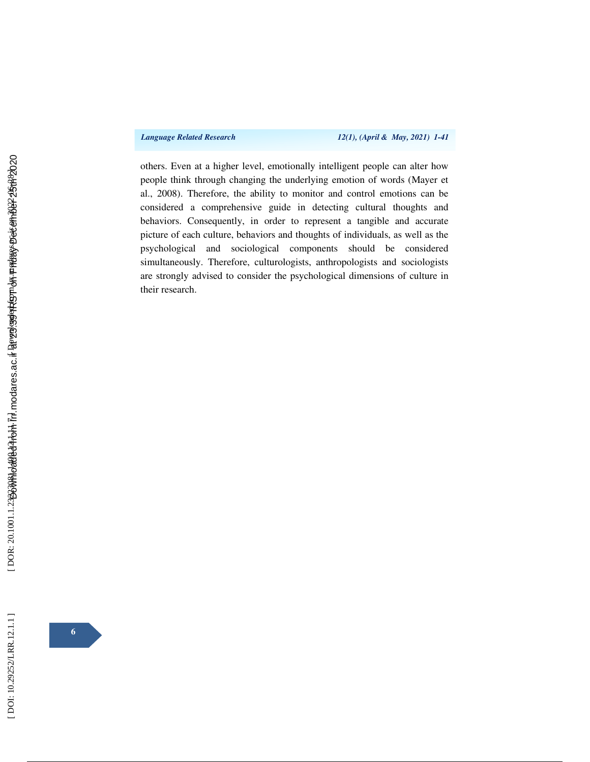*Language Related Research 12(1), (April & May, 2021) 1-41* 

others. Even at a higher level, emotionally intelligent people can alter how people think through changing the underlying emotion of words (Mayer et al., 2008). Therefore, the ability to monitor and control emotions can be considered a comprehensive guide in detecting cultural thoughts and behaviors. Consequently, in order to represent a tangible and accurate picture of each culture, behaviors and thoughts of individuals, as well as the psychological and sociological components should be considered simultaneously. Therefore, culturologists, anthropologists and sociologists are strongly advised to consider the psychological dimensions of culture in their research.

[DOI: 10.29252/LRR.12.1.1]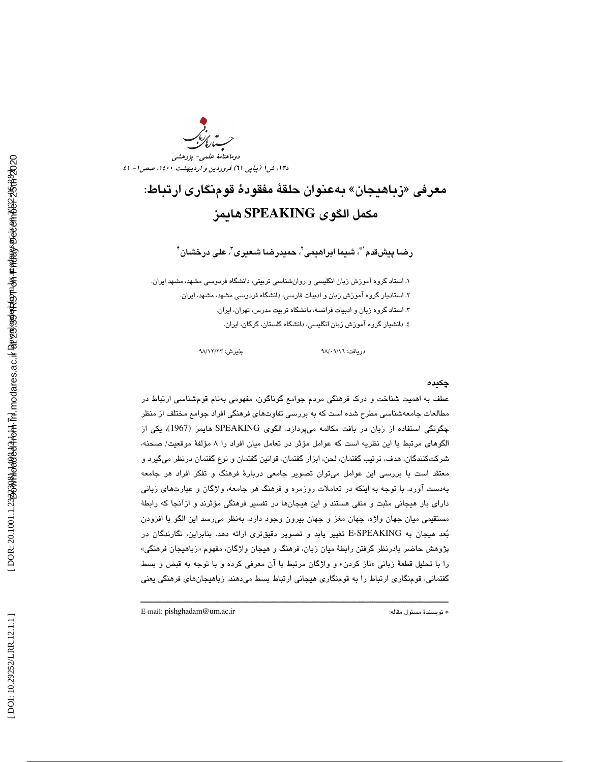دوماهنامة علمي- پژوهشي د،12 ش 1 (پياپي 61) فروردين و ارديبهشت ،1400 صص 1- 41

# زباهيجان» بهعنوان حلقة مفقودة قومنگاري ارتباط: معرفي « مكمل الگوي **SPEAKING** هايمز

رضـا پيشقدم' ؓ، شيما ابراهيمى'ّ، حميدرضـا شـعـيرى''، علـى درخشـان '

. 1 استاد گروه آموزش زبان انگليسي و روانشناسي تربيتي، دانشگاه فردوسي مشهد، مشهد ايران. . استاديار گروه آموزش ز بان و ادبيات فارسي، دانشگاه فردوسي مشهد، مشهد، ايران. 2 . استاد گروه زبان و ادبيات فرانسه، دانشگاه تربيت مدرس، تهران، ايران. 3 ٤. دانشيار گروه اموزش زبان انگليسی، دانشگاه گلستان، گرگان، ايران.

دريافت: ٩٨/٠٩/١٦ پذيرش: ٩٨/٠٩/١٢

#### چكيده

عطف به اهميت شناخت و درك فرهنگي مردم جوامع گوناگون، مفهومي بهنام قومشناسي ارتباط در مطالعات جامعهشناسي مطرح شده است كه به بررسي تفاوتهاي فرهنگي افراد جوامع مختلف از منظر چگونگي استفاده از زبان در بافت مكالمه ميپردازد. الگوي SPEAKING هايمز (1967)، يكي از الگوهاي مرتبط با اين نظريه است كه عوامل مؤثر در تعامل ميان افراد را 8 مؤلفة موقعيت/ صحنه، شركتكنندگان، هدف، ترتيب گفتمان، لحن، ابزار گفتمان، قوانين گفتمان و نوع گفتمان درنظر ميگيرد و معتقد است با بررسي اين عوامل ميتوان تصوير جامعي دربارة فرهنگ و تفكر افراد هر جامعه بهدست آورد. با توجه به اينكه در تعاملات روزمره و فرهنگ هر جامعه ، واژگان و عبارتهاي زباني داراي بار هيجاني مثبت و منفي هستند و اين هيجان ها در تفسير فرهنگي مؤثر ند و ازآنجا كه رابطة مستقيمي ميان جهان واژه، جهان مغز و جهان بيرون وجود دارد، بهنظر ميرسد اين الگو با افزودن بعد هيجان به SPEAKING-E تغيير يابد و تصوير دقيقتري ارائه دهد. بنابراين، نگارندگان در پژوهش حاضر بادرنظر گرفتن رابطهٔ میان زبان، فرهنگ و هیجان واژگان، مفهوم «زباهیجان فرهنگی» را با تحليل قطعهٔ زباني «ناز كردن» و واژگان مرتبط با ان معرفي كرده و با توجه به قبض و بسط گفتماني، قومنگاري ارتباط را به قومنگاري هيجاني ارتباط بسط ميدهند. زباهيجانهاي فرهنگي يعني

ــــــــــــــــــــــــــــــــــــــــــــــــــــــــــــــــــــــــــــــــــــــــــــــــــــــــــــــــــــــــــــــــــــــــــ

E-mail: pishghadam@um.ac.ir :مقاله مسئول نويسندة\*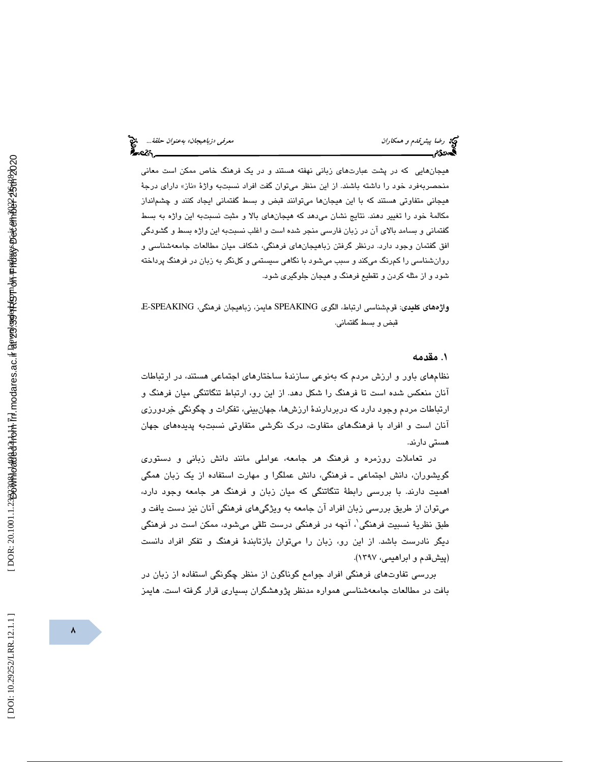هيجانهايي كه در پشت عبارتهاي زباني نهفته هستند و در يك فرهنگ خاص ممكن است معاني منحصربهفرد خود را داشته باشند. از این منظر میتوان گفت افراد نسبتبه واژهٔ «ناز» دارای درجهٔ هيجاني متفاوتي هستند كه با اين هيجانها ميتوانند قبض و بسط گفتماني ايجاد كنند و چشمانداز مكالمة خود را تغيير دهند. نتايج نشان ميدهد كه هيجانهاي بالا و مثبت نسبتبه اين واژه به بسط گفتماني و بسامد بالاي آن در زبان فارسي منجر شده است و اغلب نسبتبه اين واژه بسط و گشودگي افق گفتمان وجود دارد. درنظر گرفتن زباهيجانهاي فرهنگي ، شكاف ميان مطالعات جامعهشناسي و روانشناسي را كم رنگ ميكند و سبب ميشود با نگاهي سيستمي و كلنگر به زبان در فرهنگ پرداخته شود و از مثله كردن و تقطيع فرهنگ و هيجان جلوگيري شود.

واژههاي كليدي: قومشناسي ارتباط، الگوي SPEAKING هايمز، زباهيجان فرهنگي، SPEAKING-E، قبض و بسط گفتماني.

### 1. مقدمه

نظامهاي باور و ارزش مردم كه بهنوعي سازندة ساختارهاي اجتماعي هستند، در ارتباطات آنان منعكس شده است تا فرهنگ را شكل دهد. از اين رو، ارتباط تنگاتنگي ميان فرهنگ و ارتباطات مردم وجود دارد كه دربردارندة ارزشها، جهانبيني، تفكرات و چگونگي خردورزي آنان است و افراد با فرهنگهاي متفاوت، درك نگرشي متفاوتي نسبتبه پديدههاي جهان هستي دارند.

در تعاملات روزمره و فرهنگ هر جامعه، عواملي مانند دانش زباني و دستوري گويشوران، دانش اجتماعيـ فرهنگي، دانش عملگرا و مهارت استفاده از يك زبان همگي اهميت دارند. با بررسي رابطة تنگاتنگي كه ميان زبان و فرهنگ هر جامعه وجود دارد، ميتوان از طريق بررسي زبان افراد آن جامعه به ويژگيهاي فرهنگي آنان نيز دست يافت و طبق نظريهٔ نسبيت فرهنگي'، آنچه در فرهنگي درست تلقي ميشود، ممکن است در فرهنگي ديگر نادرست باشد. از اين رو، زبان را ميتوان بازتابندة فرهنگ و تفكر افراد دانست (پيشقدم و ابراهيمي، 1397 ).

بررسي تفاوتهاي فرهنگي افراد جوامع گوناگون از منظر چگونگي استفاده از زبان در بافت در مطالعات جامعهشناسي همواره مدنظر پژوهشگران بسياري قرار گرفته است. هايمز

DOI: 10.29252/LRR.12.1.1]

 $\lambda$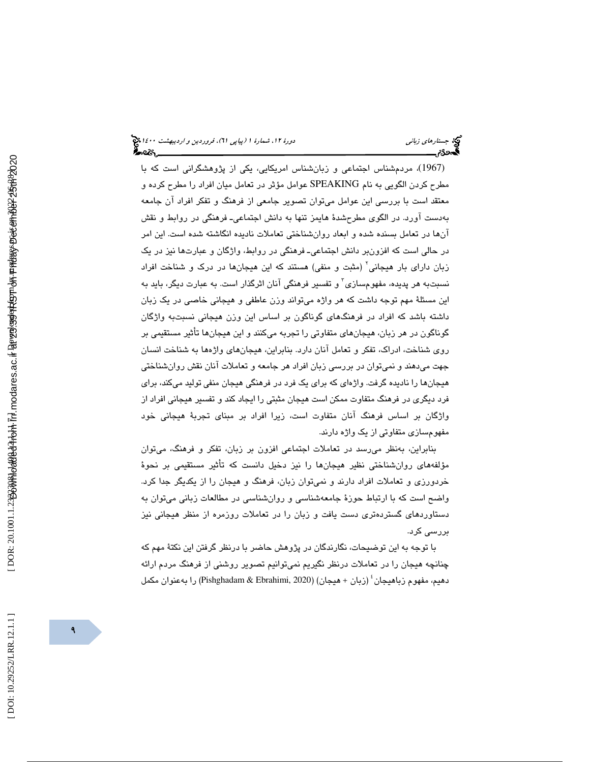(1967) ، مردمشناس اجتماعي و زبانشناس امريكايي، يكي از پژوهشگراني است كه با مطرح كردن الگويي به نام SPEAKING عوامل مؤثر در تعامل ميان افراد را مطرح كرده و معتقد است با بررسي اين عوامل ميتوان تصوير جامعي از فرهنگ و تفكر افراد آن جامعه بهدست آورد. در الگوي مطرحشدة هايمز ـ تنها به دانش اجتماعي فرهنگي در روابط و نقش آنها در تعامل بسنده شده و ابعاد روانشناختي تعاملات ناديده انگاشته شده است. اين امر در حالي است كه افزون ـ بر دانش اجتماعي فرهنگي در روابط، واژگان و عبارتها نيز در يك زبان دارای بار هیجانی<sup>٬</sup> (مثبت و منفی) هستند كه این هیجانها در درک و شناخت افراد نسبتبه هر پدیده، مفهومٖسازی ّ و تفسیر فرهنگی آنان اثرگذار است. به عبارت دیگر، باید به اين مسئلة مهم توجه داشت كه هر واژه ميتواند وزن عاطفي و هيجاني خاصي در يك زبان داشته باشد كه افراد در فرهنگهاي گوناگون بر اساس اين وزن هيجاني نسبتبه واژگان گوناگون در هر زبان ، هيجانهاي متفاوتي را تجربه ميكنند و اين هيجانها تأثير مستقيمي بر روي شناخت، ادراك، تفكر و تعامل آنان دارد. بنابراين، هيجان يها واژهها به شناخت انسان جهت ميدهند و نميتوان در بررسي زبان افراد هر جامعه و تعاملات آنان نقش روانشناختي هيجانها را ناديده گرفت. واژهاي كه براي يک فرد در فرهنگي هيجان منفي توليد ميكند، براي فرد ديگري در فرهنگ متفاوت ممكن است هيجان مثبتي را ايجاد كند و تفسير هيجاني افراد از واژگان بر اساس فرهنگ آنان متفاوت است، زيرا افراد بر مبناي تجربة هيجاني خود مفهومسازي متفاوتي از يك واژه دارند.

بنابراين، بهنظر ميرسد در تعاملات اجتماعي افزون بر زبان، تفكر و فرهنگ، ميتوان مؤلفههاي روانشناختي نظير هيجانها را نيز دخيل دانست كه تأثير مستقيمي بر نحوة خردورزي و تعاملات افراد دارند و نمي¤وان زبان، فرهنگ و هيجان را از يكديگر جدا كرد. واضح است كه با ارتباط حوزهٔ جامعهشناسي و روانشناسي در مطالعات زباني ميتوان به دستاوردهاي گستردهتري دست يافت و زبان را در تعاملات روزمره از منظر هيجاني نيز بررسي كرد .

با توجه به اين توضيحات، نگارندگان در پژوهش حاضر با درنظر گرفتن اين نكتة مهم كه چنانچه هيجان را در تعاملات درنظر نگيريم نميتوانيم تصوير روشني از فرهنگ مردم ارائه دهيم، مفهوم زباهيجان 4 (زبان + هيجان) (2020 ,Ebrahimi & Pishghadam (را بهعنوان مكمل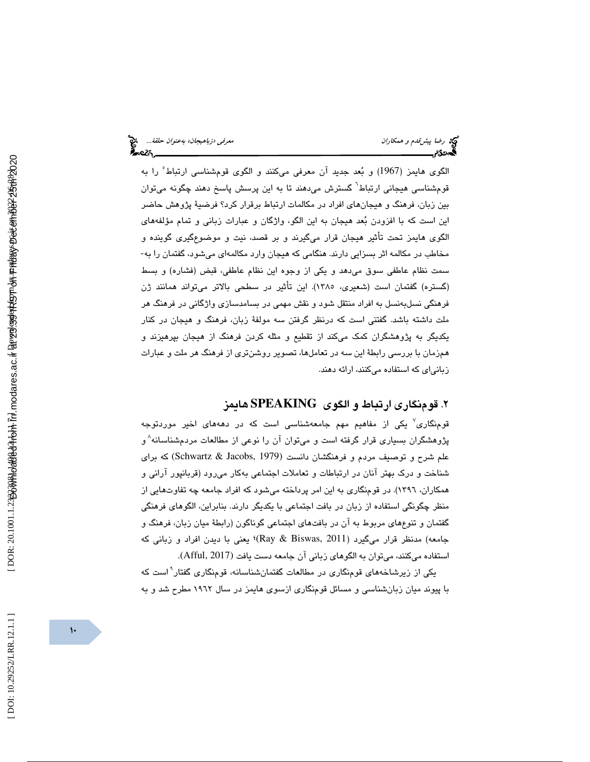الگوي هايمز (1967) و بعد جديد آن معرفي ميكنند و الگوي قومشناسي ارتباط 5 را به قومشناسی هیجانی ارتباط<sup>٬</sup> گسترش میدهند تا به این پرسش پاسخ دهند چگونه میتوان بین زبان، فرهنگ و هیجانهای افراد در مکالمات ارتباط برقرار کرد؟ فرضیهٔ پژوهش حاضر اين است كه با افزودن بعد هيجان به اين الگو، واژگان و عبارات زباني و تمام مؤلفههاي الگوی هايمز تحت تأثير هيجان قرار میگيرند و بر قصد، نيت و موضوعگيری گوينده و<br>مخاطب در مكالمه اثر بسزايي دارند. هنگامي كه هيجان وارد مكالمهای ميشود، گفتمان را به-سمت نظام عاطفي سوق ميدهد و يكي از وجوه اين نظام عاطفي، قبض (فشاره) و بسط (گستره) گفتمان است (شعيري، 1385 ). اين تأثير در سطحي بالاتر ميتواند همانند ژن فرهنگي نسلبهنسل به افراد منتقل شود و نقش مهمي در بسامدسازي واژگاني در فرهنگ هر ملت داشته باشد. گفتني است كه درنظر گرفتن سه مولفة زبان، فرهنگ و هيجان در كنار يكديگر به پژوهشگران كمك ميكند از تقطيع و مثله كردن فرهنگ از هيجان بپرهيزند و همزمان با بررسي رابطة اين سه در تعامل ها، تصوير روشنتري از فرهنگ هر ملت و عبارات زباني اي كه استفاده ميكنند، ارائه دهند.

## 2. قومنگاري ارتباط و الگوي **SPEAKING** هايمز

قومنگاری<sup>٬</sup> یکی از مفاهیم مهم جامعهشناسی است که در دهههای اخیر موردتوجه پژوهشگران بسیاری قرار گرفته است و میتوان آن را نوعی از مطالعات مردمشناسانه $^{\wedge}$ و علم شرح و توصيف مردم و فرهنگشان دانست (1979 ,Jacobs & Schwartz (كه براي شناخت و درك بهتر آنان در ارتباطات و تعاملات اجتماعي بهكار ميرود (قربانپور آراني و همكاران، 1396). در قومنگاري به اين امر پرداخته ميشود كه افراد جامعه چه تفاوتهايي از منظر چگونگي استفاده از زبان در بافت اجتماعي با يكديگر دارند. بنابراين، الگوهاي فرهنگي گفتمان و تنوعهاي مربوط به آن در بافتهاي اجتماعي گوناگون (رابطة ميان زبان، فرهنگ و جامعه) مدنظر قرار میگیرد (Ray & Biswas, 2011)؛ یعنی با دیدن افراد و زبانی كه استفاده ميكنند، ميتوان به الگوهاي زباني آن جامعه دست يافت (2017 ,Afful(.

 9 يكي از زيرشاخههاي قومنگاري در مطالعات گفتمانشناسانه، قومنگاري گفتار است كه با پيوند ميان زبانشناسي و مسائل قومنگاري ازسوي هايمز در سال 1962 مطرح شد و به

 $\overline{1}$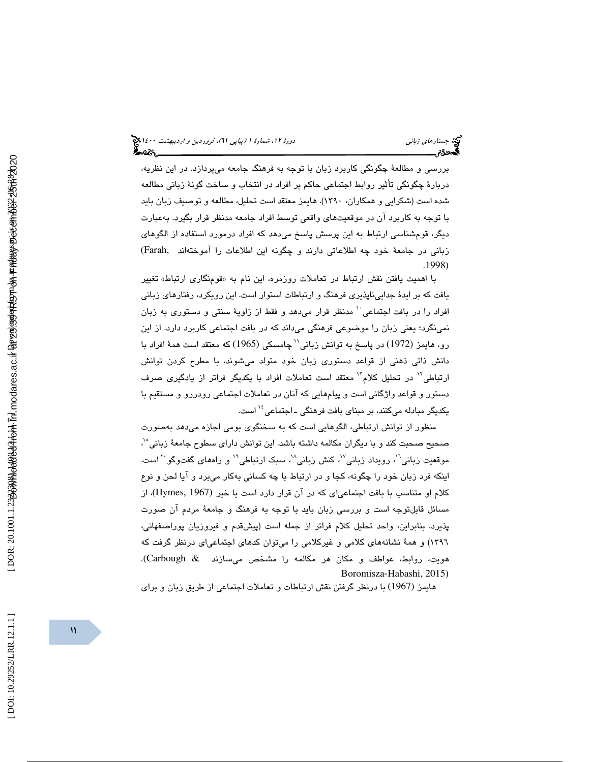بررسي و مطالعة چگونگي كاربرد زبان با توجه به فرهنگ جامعه ميپردازد. در اين نظريه، دربارة چگونگي تأثير روابط اجتماعي حاكم بر افراد در انتخاب و ساخت گونة زباني مطالعه شده است (شكرايي و همكاران، 1390 .) هايمز معتقد است تحليل، مطالعه و توصيف زبان بايد با توجه به كاربرد آن در موقعيتهاي واقعي توسط افراد جامعه مدنظر قرار بگيرد. بهعبارت ديگر، قومشناسي ارتباط به اين پرسش پاسخ ميدهد كه افراد درمورد استفاده از الگوهاي زباني در جامعة خود چه اطلاعاتي دارند و چگونه اين اطلاعات را آموختهاند ,Farah( . 1998)

با اهميت يافتن نقش ارتباط در تعاملات روزمره، اين نام به «قومنگاری ارتباط» تغيير يافت كه بر ايدة جداييناپذيري فرهنگ و ارتباطات استوار است. اين رويكرد، رفتارهاي زباني افراد را در بافت اجتماعي ` مدنظر قرار ميدهد و فقط از زاويهٔ سنتي و دستوري به زبان نمينگرد؛ يعني زبان را موضوعي فرهنگي ميداند كه در بافت اجتماعي كاربرد دارد. از اين رو، هايمز (1972) در پاسخ به توانش زبانی'` چامسکی (1965) که معتقد است همهٔ افراد با دانش ذاتي ذهني از قواعد دستوري زبان خود متولد ميشوند، با مطرح كردن توانش ارتباطی<sup>۱۲</sup> در تحلیل کلام<sup>۱۳</sup> معتقد است تعاملات افراد با یکدیگر فراتر از یادگیری صرف دستور و قواعد واژگاني است و پيامهايي كه آنان در تعاملات اجتماعي رودررو و مستقيم با یکدیگر مبادله میکنند، بر مبنا*ی* بافت فرهنگی ـ اجتماعی<sup>،۱۶</sup> است.

منظور از توانش ارتباطي، الگوهايي است كه به سخنگوي بومي اجازه ميدهد بهصورت صحيح صحبت كند و با ديگران مكالمه داشته باشد. اين توانش داراي سطوح جامعهٔ زباني°′، موقعیت زبانی'`، رویداد زبانی'`، کنش زبانی'`، سبک ارتباطی'`` و راههای گفتوگو `` است. اينكه فرد زبان خود را چگونه، كجا و در ارتباط با چه كساني بهكار مي برد و آيا لحن و نوع ا كلام او متناسب با بافت اجتماعىاى كه در آن قرار دارد است يا خير (Hymes, 1967)، از مسائل قابلتوجه است و بررسی زبان باید با توجه به فرهنگ و جامعهٔ مردم آن صورت پذيرد . بنابراين، واحد تحليل كلام فراتر از جمله است (پيشقدم و فيروزيان پوراصفهاني، 1396) و همة نشانههاي كلامي و غيركلامي را ميتوان كدهاي اجتماعياي درنظر گرفت كه هويت، روابط، عواطف و مكان هر مكالمه را مشخص ميسازند & Carbough(. Boromisza ‐Habashi, 2015)

هايمز (1967) با درنظر گرفتن نقش ارتباطات و تعاملات اجتماعي از طريق زبان و براي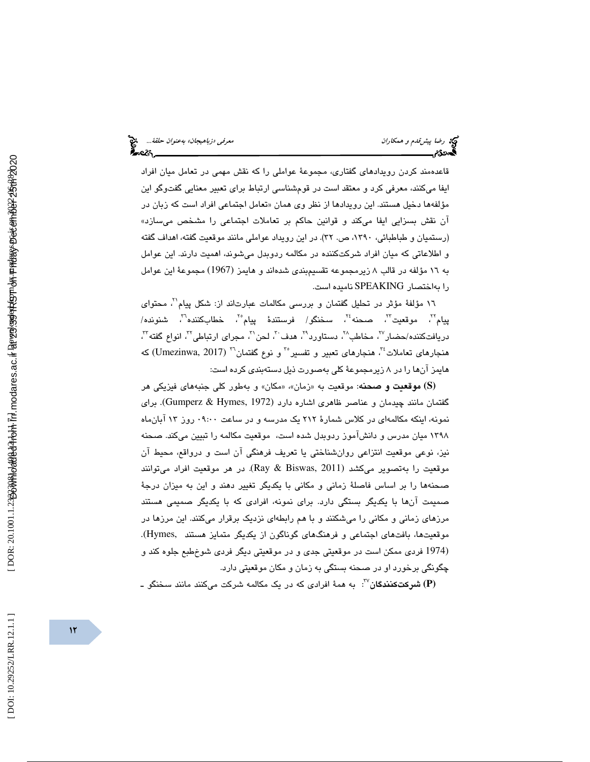قاعدهمند كردن رويدادهاي گفتاري، مجموعهٔ عواملي را كه نقش مهمي در تعامل ميان افراد ايفا ميكنند، معرفي كرد و معتقد است در قومشناسي ارتباط براي تعبير معنايي گفتوگو اين مؤلفهها دخیل هستند. این رویدادها از نظر وی همان «تعامل اجتماعی افراد است که زبان در ان نقش بسزايي ايفا ميكند و قوانين حاكم بر تعاملات اجتماعي را مشخص ميسازد» (رستميان و طباطبائي، ١٣٩٠، ص. ٣٢). در اين رويداد عواملي مانند موقعيت گفته، اهداف گفته و اطلاعاتي كه ميان افراد شركتكننده در مكالمه ردوبدل ميشوند، اهميت دارند. اين عوامل به 16 مؤلفه در قالب 8 زيرمجموعه تقسيمبندي شدهاند و هايمز (1967) مجموعة اين عوامل را بهاختصار SPEAKING ناميده است.

١٦ مؤلفهٔ مؤثر در تحليل گفتمان و بررسى مكالمات عبارتاند از: شكل پيام<sup>٢</sup>، محتواى پيام<sup>7</sup>، موقعيت<sup>7</sup>، صحنه<sup>٢٤</sup>، سخنگو/ فرستندهٔ پيام°<sup>؟</sup>، خطابكننده<sup>٦</sup>، شنونده/ دريافتكننده/حضار ً"، مخاطب"، دستاورد"، هدف "، لحن ``، مجراي ارتباطي''، انواع گفته'''، هنجارهاي تعاملات <sup>٢٠</sup>. هنجارهاي تعبير و تفسير<sup>٣٠</sup> و نوع گفتمان<sup>٣٦</sup> (Umezinwa, 2017) كه هايمز آنها را در 8 زيرمجموعة كلي بهصورت ذيل دستهبندي كرده است:

**(S (**موقعيت و صحنه: موقعيت ب «ه زمان «، » مكان» و بهطور كلي جنبههاي فيزيكي هر گفتمان مانند چيدمان و عناصر ظاهري اشاره دارد (Gumperz & Hymes, 1972). براي نمونه، اينكه مكالمهاي در كلاس شمارة 212 يك مدرسه و در ساعت 09:00 روز 13 آبانماه 1398 ميان مدرس و دانشآموز ردوبدل شده است، موقعيت مكالمه را تبيين ميكند. صحنه نيز، نوعي موقعيت انتزاعي روانشناختي يا تعريف فرهنگي آن است و درواقع، محيط آن موقعيت را بهتصوير ميكشد (2011 ,Biswas & Ray(. در هر موقعيت افراد ميتوانند صحنهها را بر اساس فاصلة زماني و مكاني با يكديگر تغيير دهند و اين به ميزان درجة صميمت آنها با يكديگر بستگي دارد. براي نمونه، افرادي كه با يكديگر صميمي هستند مرزهاي زماني و مكاني را ميشكنند و با هم رابطهاي نزديك برقرار ميكنند. اين مرزها در موقعيتها، بافتهاي اجتماعي و فرهنگهاي گوناگون از يكديگر متمايز هستند ,Hymes(. (1974 فردي ممكن است در موقعيتي جدي و در موقعيتي ديگر فردي شوخطبع جلوه كند و چگونگي برخورد او در صحنه بستگي به زمان و مكان موقعيتي دارد.

37 **(P (**شركتكنندگان : به همة افرادي كه در يك مكالمه شركت ميكنند مانند سخنگو ـ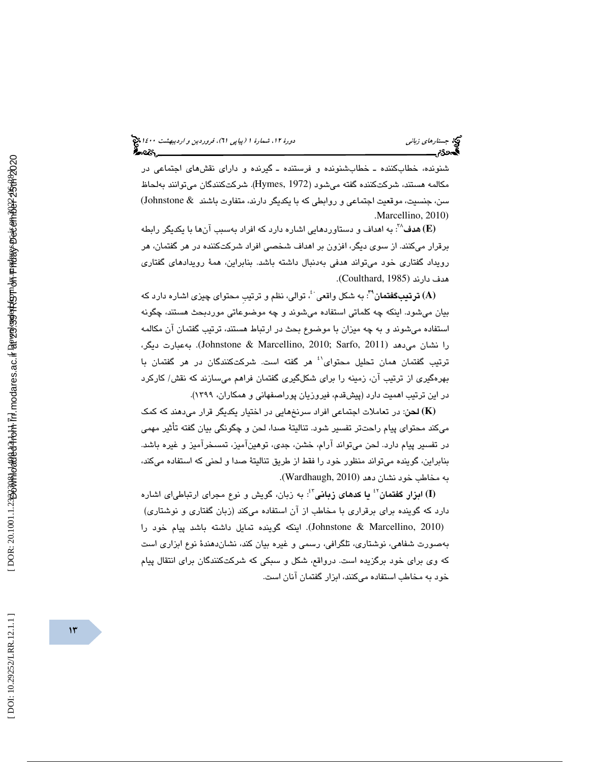#### (پياپي 61)، فروردين و ارديبهشت 1400 جستارهاي زباني دورة ،12 شمارة 1 ?∽વ્લ્ય

شنونده، خطابكننده ـ خطابشنونده و فرستنده ـ گيرنده و داراي نقشهاي اجتماعي در مكالمه هستند، شركتكننده گفته ميشود (1972 ,Hymes(. شركتكنندگان ميتوانند بهلحاظ سن، جنسيت، موقعيت اجتماعي و روابطي كه با يكديگر دارند، متفاوت باشند & Johnstone( .Marcellino, 2010)

: به اهداف و دستاوردهايي اشاره دارد كه افراد بهسبب آنها با يكديگر رابطه <sup>38</sup> **(E (**هدف برقرار ميكنند. از سوي ديگر، افزون بر اهداف شخصي افراد شركتكننده در هر گفتمان، هر رويداد گفتاري خود ميتواند هدفي بهدنبال داشته باشد. بنابراين، همة رويدادهاي گفتاري هدف دارند (1985 ,Coulthard(.

، توالي، نظم و ترتيبِ محتواي چيزي اشاره دارد كه <sup>40</sup> : به شكل واقعي <sup>39</sup> **(A (**ترتي بگفتمان بيان ميشود. اينكه چه كلماتي استفاده ميشوند و چه موضوعاتي موردبحث هستند، چگونه استفاده ميشوند و به چه ميزان با موضوع بحث در ارتباط هستند، ترتيب گفتمان آن مكالمه را نشان ميدهد (2011 ,Sarfo; 2010 ,Marcellino & Johnstone(. بهعبارت ديگر، ترتيب گفتمان همان تحليل محتواي<sup>، د</sup>هر گفته است. شركتكنندگان در هر گفتمان با بهرهگيري از ترتيب آن، زمينه را براي شكلگيري گفتمان فراهم ميسازند كه نقش/ كاركرد در اين ترتيب اهميت دارد (پيشقدم ، فيروزيان پوراصفهاني و همكاران، 1399).

**(K (**لحن: در تعاملات اجتماعي افراد سرنخهايي در اختيار يكديگر قرار ميدهند كه كمك ميكند محتواي پيام راحتتر تفسير شود. تناليتة صدا، لحن و چگونگي بيان گفته تأثير مهمي در تفسير پيام دارد. لحن ميتواند آرام، خشن، جدي، توهينآميز، تمسخرآميز و غيره باشد. بنابراين، گوينده ميتواند منظور خود را فقط از طريق تناليتة صدا و لحني كه استفاده ميكند، به مخاطب خود نشان دهد (2010 ,Wardhaugh(.

: به زبان، گويش و نوع مجراي ارتباطياي اشاره <sup>43</sup> يا كدهاي زباني <sup>42</sup> **(I (**ابزار گفتمان دارد كه گوينده براي برقراري با مخاطب از آن استفاده ميكند (زبان گفتاري و نوشتاري)

(2010 ,Marcellino & Johnstone(. اينكه گوينده تمايل داشته باشد پيام خود را بهصورت شفاهي، نوشتاري، تلگرافي، رسمي و غيره بيان كند، نشاندهندة نوع ابزاري است كه وي براي خود برگزيده است. درواقع، شكل و سبكي كه شركتكنندگان براي انتقال پيام خود به مخاطب استفاده ميكنند، ابزار گفتمان آنان است.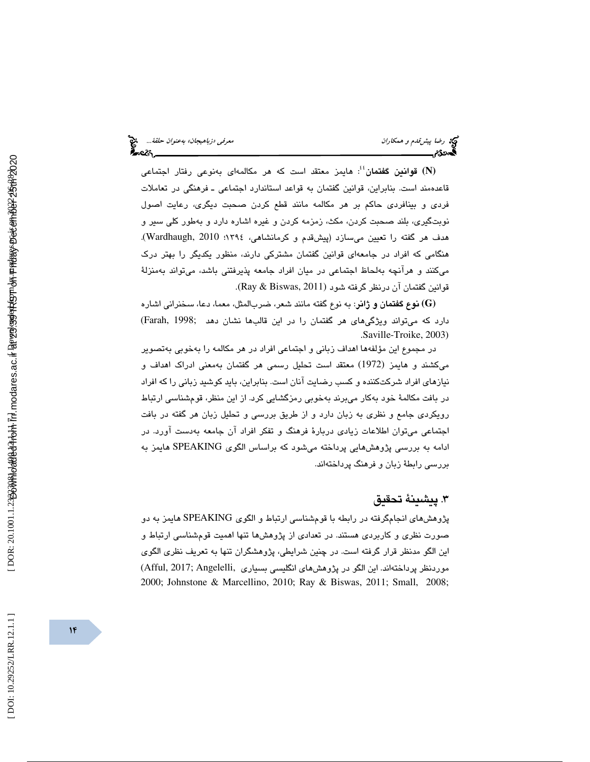: هايمز معتقد است كه هر مكالمهاي بهنوعي رفتار اجتماعي <sup>44</sup> **(N (**قوانين گفتمان قاعدهمند است. بنابراين، قوانين گفتمان به قواعد استاندارد اجتماعيـ فرهنگي در تعاملات فردي و بينافردي حاكم بر هر مكالمه مانند قطع كردن صحبت ديگري، رعايت اصول نوبتگيري، بلند صحبت كردن، مكث، زمزمه كردن و غيره اشاره دارد و بهطور كلي سير و هدف هر گفته را تعيين ميسازد (پيشقدم و كرمانشاهي، 1394؛ 2010 ,Wardhaugh(. هنگامي كه افراد در جامعهاي قوانين گفتمان مشتركي دارند، منظور يكديگر را بهتر درك ميكنند و هرآنچه بهلحاظ اجتماعي در ميان افراد جامعه پذيرفتني باشد، ميتواند بهمنزلة قوانين گفتمان آن درنظر گرفته شود (2011 ,Biswas & Ray(.

**(G (**نوع گفتمان و ژانر: به نوع گفته مانند شعر، ضربالمثل، معما، دعا، سخنراني اشاره دارد كه ميتواند ويژگيهاي هر گفتمان را در اين قالبها نشان دهد ;1998 ,Farah( . Saville-Troike, 2003)

در مجموع اين مؤلفهها اهداف زباني و اجتماعي افراد در هر مكالمه را بهخوبي بهتصوير ميكشند و هايمز (1972) معتقد است تحليل رسمي هر گفتمان بهمعني ادراك اهداف و نيازهاي افراد شركتكننده و كسب رضايت آنان است. بنابراين، بايد كوشيد زباني را كه افراد در بافت مكالمة خود بهكار ميبرند بهخوبي رمزگشايي كرد. از اين منظر، قومشناسي ارتباط رويكردي جامع و نظري به زبان دارد و از طريق بررسي و تحليل زبان هر گفته در بافت اجتماعي ميتوان اطلاعات زيادي دربارة فرهنگ و تفكر افراد آن جامعه بهدست آورد. در ادامه به بررسي پژوهشهايي پرداخته ميشود كه براساس الگوي SPEAKING هايمز به بررسي رابطة زبان و فرهنگ پرداختهاند.

## 3. پيشينة تحقيق

پژوهشهاي انجامگرفته در رابطه با قومشناسي ارتباط و الگوي SPEAKING هايمز به دو صورت نظري و كاربردي هستند. در تعدادي از پژوهشها تنها اهميت قومشناسي ارتباط و اين الگو مدنظر قرار گرفته است. در چنين شرايطي، پژوهشگران تنها به تعريف نظري الگوي موردنظر پرداختهاند. اين الگو در پژوهشهاي انگليسي بسياري ,Angelelli; 2017 ,Afful( 2000; Johnstone & Marcellino, 2010; Ray & Biswas, 2011; Small, 2008;

DOI: 10.29252/LRR.12.1.1]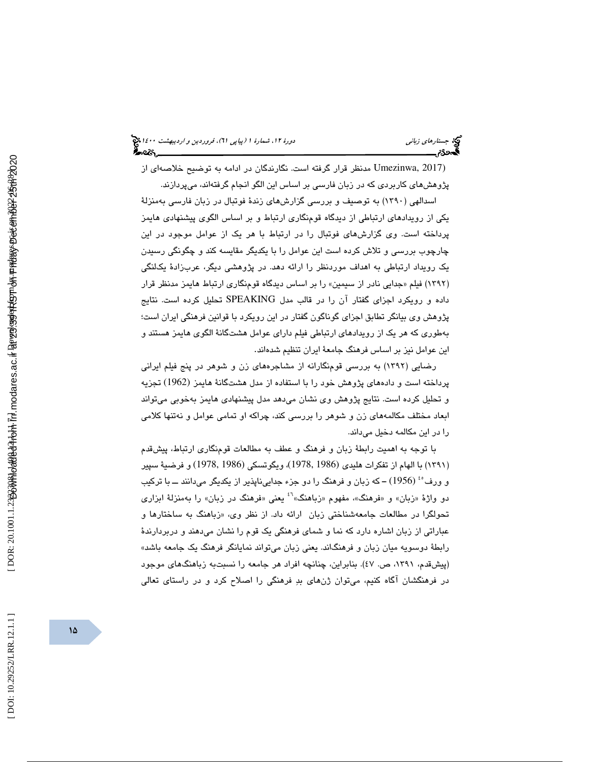(2017 ,Umezinwa مدنظر قرار گرفته است. نگارندگان در ادامه به توضيح خلاصهاي از پژوهشهاي كاربردي كه در زبان فارسي بر اساس اين الگو انجام گرفتهاند، ميپردازند.

اسدالهي (1390) به توصيف و بررسي گزارشهاي زندة فوتبال در زبان فارسي بهمنزلة يكي از رويدادهاي ارتباطي از ديدگاه قومنگاري ارتباط و رب اساس الگوي پيشنهادي هايمز پرداخته است. وي گزارشهاي فوتبال را در ارتباط با هر يك از عوامل موجود در اين چارچوب بررسي و تلاش كرده است اين عوامل را با يكديگر مقايسه كند و چگونگي رسيدن يك رويداد ارتباطي به اهداف موردنظر را ارائه دهد. در پژوهشي ديگر، عربزادة يكلنگي (۱۳۹۲) فیلم «جدایی نادر از سیمین» را بر اساس دیدگاه قومنگاری ارتباط هایمز مدنظر قرار داده و رويكرد اجزاي گفتار آن را در قالب مدل SPEAKING تحليل كرده است. نتايج پژوهش وي بيانگر تطابق اجزاي گوناگون گفتار در اين رويكرد با قوانين فرهنگي ايران است؛ بهطوري كه هر يك از رويدادهاي ارتباطي فيلم داراي عوامل هشتگانة الگوي هايمز هستند و اين عوامل نيز بر اساس فرهنگ جامعهٔ ايران تنظيم شدهاند.

رضايي (1392) به بررسي قومنگارانه از مشاجرههاي زن و شوهر در پنج فيلم ايراني پرداخته است و دادههاي پژوهش خود را با استفاده از مدل هشتگانهٔ هايمز (1962) تجزيه و تحليل كرده است. نتايج پژوهش وي نشان ميدهد مدل پيشنهادي هايمز بهخوبي ميتواند ابعاد مختلف مكالمههاي زن و شوهر را بررسي كند ، چراكه او تمامي عوامل و نهتنها كلامي دا را در اين مكالمه دخيل مي ند.

با توجه به اهميت رابطة زبان و فرهنگ و عطف به مطالعات قومنگاري ارتباط، پيشقدم (١٣٩١) با الهام از تفكرات هليدى (1986 ,1978)، ويگوتسكى (1978 ,1986) و فرضية سپير و ورف<sup>ء،</sup> (1956) – که زبان و فرهنگ را دو جزء جداییناپذیر از یکدیگر میدانند ــ با ترکیب<br>دو واژهٔ «زبان» و «فرهنگ»، مفهوم «زباهنگ»<sup>؟</sup> یعنی «فرهنگ در زبان» را بهمنزلهٔ ابزار*ی* تحولگرا در مطالعات جامعهشناختی زبان ارائه داد. از نظر وی. «زباهنگ به ساختارها و عباراتي از زبان اشاره دارد كه نما و شماي فرهنگي يک قوم را نشان ميدهند و دربردارندهٔ رابطهٔ دوسویه میان زبان و فرهنگاند. یعنی زبان میتواند نمایانگر فرهنگ یک جامعه باشد» (پيش قدم، ١٣٩١، ص. ٤٧). بنابراين، چنانچه افراد هر جامعه را نسبتبه زباهنگهاي موجود در فرهنگشان آگاه كنيم، ميتوان ژنهاي بد فرهنگي را اصلاح كرد و در راستاي تعالي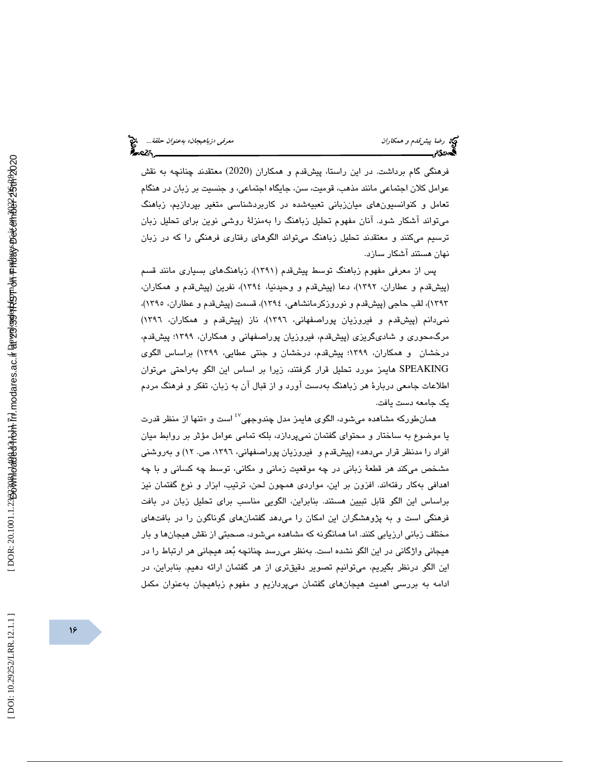فرهنگی گام برداشت. در اين راستا، پيشقدم و همكاران (2020) معتقدند چنانچه به نقش عوامل كلان اجتماعي مانند مذهب، قوميت، سن، جايگاه اجتماعي، و جنسيت بر زبان در هنگام تعامل و كنوانسىيون،هاى ميانزبانى تعبيەشدە در كاربردشناسى متغير بپردازيم، زباهنگ ميتواند آشكار شود. آنان مفهوم تحليل زباهنگ را بهمنزلة روشي نوين براي تحليل زبان ترسيم ميكنند و معتقدند تحليل زباهنگ ميتواند الگوهاي رفتاري فرهنگي را كه در زبان نهان هستند آشكار سازد.

پس از معرفي مفهوم زباهنگ توسط پيشقدم (1391)، زباهنگهاي بسياري مانند قسم (پيشقدم و عطاران، 1392)، دعا (پيشقدم و وحيدنيا، 1394)، نفرين پ( يشقدم و همكاران، ۱۳۹۳)، لقب حاجي (پيشقدم و نوروزكرمانشاهي، ۱۳۹۶)، قسمت (پيشقدم و عطاران، ۱۳۹۰)، نمي دانم (پيشقدم و فيروزيان پوراصفهاني، ١٣٩٦)، ناز (پيش قدم و همكاران، ١٣٩٦) مرگ $\alpha$ حوري و شاديگريزي (پيشقدم، فيروزيان پوراصفهاني و همكاران، ۱۳۹۹؛ پيشقدم، درخشان و همكاران ، 1399؛ پيشقدم، درخشان و جنتي عطايي، 1399) براساس الگوي SPEAKING هايمز مورد تحليل قرار گرفتند، زيرا بر اساس اين الگو بهراحتي ميتوان اطلاعات جامعي دربارة هر زباهنگ بهدست آورد و از قبال آن به زبان، تفكر و فرهنگ مردم يك جامعه دست يافت.

همانطورکه مشاهده میشود، الگوی هايمز مدل چندوجهی<sup>۶۷</sup> است و «تنها از منظر قدرت يا موضوع به ساختار و محتواي گفتمان نميپردازد، بلكه تمامي عوامل مؤثر بر روابط ميان افراد را مدنظر قرار ميدهد» (پيشقدم و فيروزيان پوراصفهاني، ،1396 ص. 12) و بهروشني مشخص ميكند هر قطعة زباني در چه موقعيت زماني و مكاني، توسط چه كساني و با چه اهدافي بهكار رفتهاند. افزون بر اين، مواردي همچون لـحن، ترتيب، ابزار و نوع گفتمان نيز براساس اين الگو قابل تبيين هستند. بنابراين، الگويي مناسب براي تحليل زبان در بافت فرهنگي است و به پژوهشگران اين امكان را ميدهد گفتمانهاي گوناگون را در بافتهاي مختلف زبانی ارزیابی كنند. اما همانگونه كه مشاهده میشود، صحبتی از نقش هیجانها و بار هيجاني واژگاني در اين الگو نشده است. بهنظر ميرسد چنانچه بعد هيجاني هر ارتباط را در اين الگو درنظر بگيريم، ميتوانيم تصوير دقيقتري از هر گفتمان ارائه دهيم. بنابراين، در ادامه به بررسي اهميت هيجانهاي گفتمان ميپردازيم و مفهوم زباهيجان بهعنوان مكمل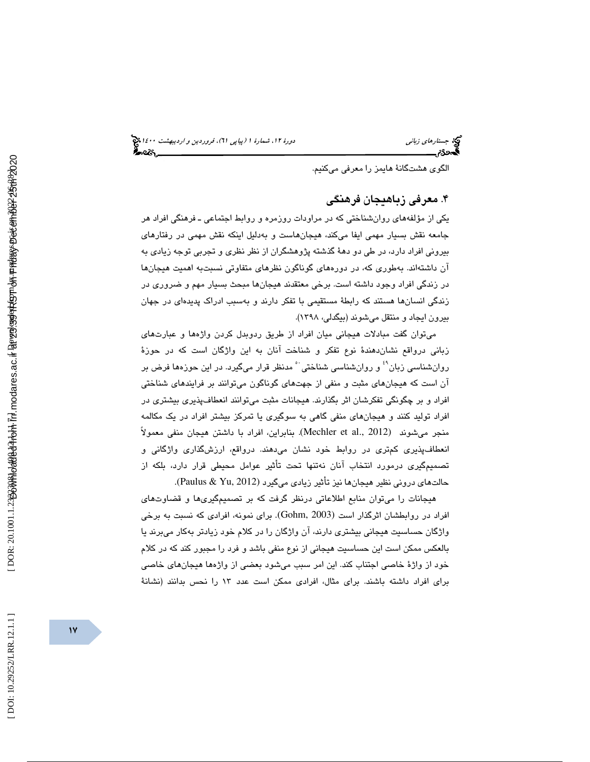الگوي هشتگانة هايمز را معرفي ميكنيم .

## 4. معرفي زباهيجان فرهنگي

يكي از مؤلفههاي روانشناختي كه در مراودات روزمره و روابط اجتماعيـ فرهنگي افراد هر جامعه نقش بسيار مهمي ايفا ميكند، هيجانهاست و بهدليل اينكه نقش مهمي در رفتارهاي بيروني افراد دارد، در طي دو دهة گذشته پژوهشگران از نظر نظري و تجربي توجه زيادي به آن داشتهاند. بهطوري كه، در دورههاي گوناگون نظرهاي متفاوتي نسبتبه اهميت هيجانها در زندگي افراد وجود داشته است. برخي معتقدند هيجانها مبحث بسيار مهم و ضروري در زندگي انسانها هستند كه رابطة مستقيمي با تفكر دارند و بهسبب ادراك پديدهاي در جهان بيرون ايجاد و منتقل ميشوند (بيگدلي، 1398 ).

 ميتوان گفت مبادلات هيجاني ميان افراد از طريق ردوبدل كردن واژهها و عبارتهاي زباني درواقع نشاندهندة نوع تفكر و شناخت آنان به اين واژگان است كه در حوزة روانشناسي زبان ُ ٔ و روانشناسي شناختي ٔ مدنظر قرار ميگيرد. در اين حوزهها فرض بر آن است كه هیجانهای مثبت و منفی از جهتهای گوناگون میتوانند بر فرایندهای شناختی افراد و بر چگونگي تفكرشان اثر بگذارند. هيجانات مثبت ميتوانند انعطافپذيري بيشتري در افراد توليد كنند و هيجانهاي منفي گاهي به سوگيري يا تمركز بيشتر افراد در يك مكالمه منجر ميشوند (2012 .Mechler et al., بنابراين، افراد با داشتن هيجان منفي معمولاً انعطافپذيري كمتري در روابط خود نشان ميدهند. درواقع، ارزشگذاري واژگاني و تصميمگيري درمورد انتخاب آنان نهتنها تحت تأثير عوامل محيطي قرار دارد، بلكه از حالتهاي دروني نظير هيجانها نيز تأثير زيادي ميگيرد (2012 ,Yu & Paulus(.

هيجانات را ميتوان منابع اطلاعاتي درنظر گرفت كه بر تصميمگيريها و قضاوتهاي افراد در روابطشان اثرگذار است (Gohm, 2003). برای نمونه، افرادی که نسبت به برخی واژگان حساسيت هيجاني بيشتري دارند، آن واژگان را در كلام خود زيادتر بهكار ميبرند يا بالعكس ممكن است اين حساسيت هيجاني از نوع منفي باشد و فرد را مجبور كند كه در كلام خود از واژة خاصي اجتناب كند. اين امر سبب ميشود بعضي از واژهها هيجانهاي خاصي براي افراد داشته باشند. براي مثال، افرادي ممكن است عدد 13 را نحس بدانند (نشانة

 $\gamma$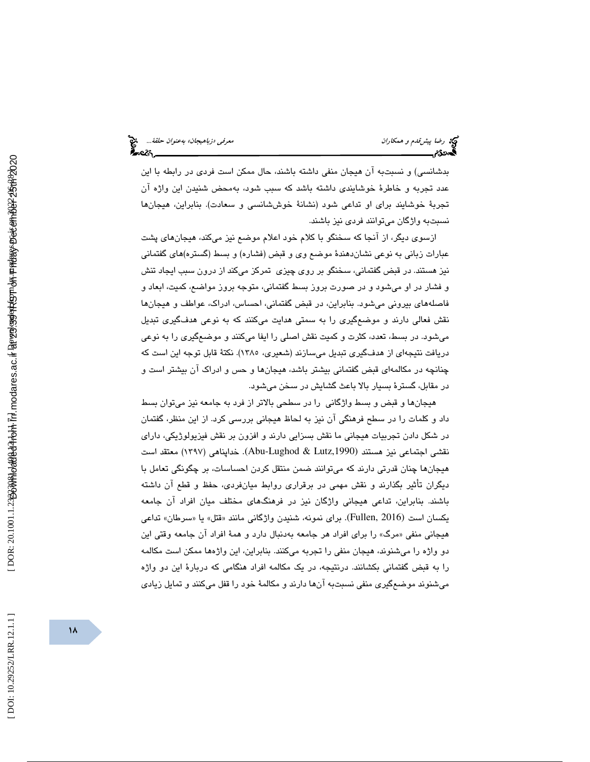بدشانسي) و نسبتبه آن هيجان منفي داشته باشند، حال ممكن است فردي در رابطه با اين عدد تجربه و خاطرة خوشايندي داشته باشد كه سبب شود، بهمحض شنيدن اين واژه آن تجربة خوشايند براي او تداعي شود (نشانة خوششانسي و سعادت). بنابراين، هيجانها نسبتبه واژگان ميتوانند فردي نيز باشند.

ازسوي ديگر، از آنجا كه سخنگو با كلام خود اعلام موضع نيز ميكند، هيجانهاي پشت عبارات زباني به نوعي نشان دهندة موضع وي و قبض (فشاره) و بسط (گستره ) هاي گفتماني نيز هستند. در قبض گفتماني، سخنگو بر روي چيزي تمركز مي كند از درون سبب ايجاد تنش و فشار در او ميشود و در صورت بروز بسط گفتماني، متوجه بروز مواضع، كميت، ابعاد و فاصلههاي بيروني ميشود. بنابراين، در قبض گفتماني، احساس، ادراك، عواطف و هيجانها نقش فعالي دارند و موضعگيري را به سمتي هدايت ميكنند كه به نوعي هدفگيري تبديل ميشود. در بسط، تعدد، كثرت و كميت نقش اصلي را ايفا ميكنند و موضعگيري را به نوعي دريافت نتيجهاي از هدفگيري تبديل ميسازند (شعيري، ١٣٨٥). نكتهٔ قابل توجه اين است كه چنانچه در مكالمهاي قبض گفتماني بيشتر باشد، هيجانها و حس و ادراك آن بيشتر است و در مقابل ، گسترة بسيار بالا باعث گشايش در سخن ميشود.

هيجانها و قبض و بسط واژگاني را در سطحي بالاتر از فرد به جامعه نيز ميتوان بسط داد و كلمات را در سطح فرهنگي آن نيز به لحاظ هيجاني بررسي كرد . از اين منظر، گفتمان در شكل دادن تجربيات هيجاني ما نقش بسزايي دارند و افزون بر نقش فيزيولوژيكي، داراي نقشي اجتماعي نيز هستند (Abu-Lughod & Lutz,1990). خداپناهي (١٣٩٧) معتقد است هيجانها چنان قدرتي دارند كه ميتوانند ضمن منتقل كردن احساسات، بر چگونگي تعامل با ديگران تأثير بگذارند و نقش مهمي در برقراري روابط ميانفردي، حفظ و قطع آن داشته باشند. بنابراين، تداعي هيجاني واژگان نيز در فرهنگهاي مختلف ميان افراد آن جامعه يكسان است (Fullen, 2016). براي نمونه، شنيدن واژگاني مانند «قتل» يا «سرطان» تداعي هیجاني منفي «مرگ» را براي افراد هر جامعه بهدنبال دارد و همهٔ افراد ان جامعه وقتي اين دو واژه را ميشنوند، هيجان منفي را تجربه ميكنند. بنابراين، اين واژهها ممكن است مكالمه را به قبض گفتماني بكشانند. درنتيجه، در يك مكالمه افراد هنگامي كه دربارة اين دو واژه ميشنوند موضعگيري منفي نسبتبه آنها دارند و مكالمة خود را قفل ميكنند و تمايل زيادي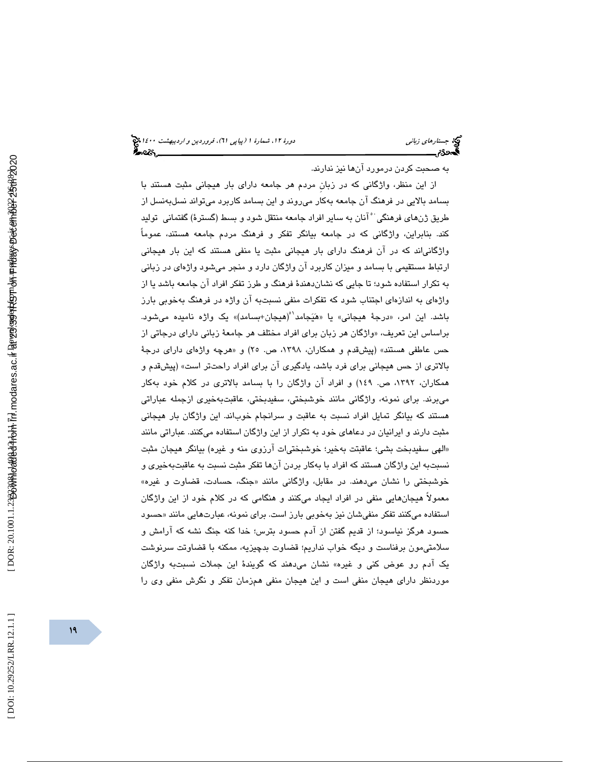به صحبت كردن درمورد آنها نيز ندارند.

 از اين منظر، واژگاني كه در زبانِ مردم هر جامعه داراي بار هيجاني مثبت هستند با بسامد بالايي در فرهنگ آن جامعه بهكار ميروند و اين بسامد كاربرد مي به تواند نسل نسل از طريق ژن،هاي فرهنگي َ آنان به ساير افراد جامعه منتقل شود و بسط (گسترهٔ) گفتماني توليد كند. بنابراين، واژگاني كه در جامعه بيانگر تفكر و فرهنگ مردم جامعه هستند، عموماً واژگانياند كه در آن فرهنگ داراي بار هيجاني مثبت يا منفي هستند كه اين بار هيجاني ارتباط مستقيمي با بسامد و ميزان كاربرد آن واژگان دارد و منجر ميشود واژهاي در زبان ي به تكرار استفاده شود؛ تا جايي كه نشاندهندة فرهنگ و طرز تفكر افراد آن جامعه باشد يا از واژهاي به اندازهاي اجتناب شود كه تفكرات منفي نسبتبه آن واژه در فرهنگ بهخوبي بارز باشد. اين امر، «درجهٔ هيجانی» يا «هَيَجامد<sup>۰</sup>°(هيجان+بسامد)» يک واژه ناميده میشود. براساس اين تعريف، «واژگان هر زبان برای افراد مختلف هر جامعهٔ زبانی دارای درجاتی از حس عاطفی هستند» (پیشقدم و همکاران، ۱۳۹۸، ص. ۲۵) و «هرچه واژهای دارای درجهٔ بالاتري از حس هيجاني براي فرد باشد، يادگيري آن براي افراد راحتتر است» (پيشقدم و همكاران، ،1392 ص. 149) و افراد آن واژگان را با بسامد بالاتري در كلام خود بهكار ميبرند. براي نمونه، واژگاني مانند خوشبختي، سفيدبختي، عاقبتبهخيري ازجمله عباراتي هستند كه بيانگر تمايل افراد نسبت به عاقبت و سرانجام خوباند. اين واژگان بار هيجاني مثبت دارند و ايرانيان در دعاهاي خود به تكرار از اين واژگان استفاده ميكنند. عباراتي مانند «الهي سفيدبخت بشي؛ عاقبتت بهخير؛ خوشبختي|ت ارزوى منه و غيره) بيانگر هيجان مثبت نسبتبه اين واژگان هستند كه افراد با بهكار بردن انها تفكر مثبت نسبت به عاقبتبهخیری و خوشبختی را نشان میدهند. در مقابل، واژگانی مانند «جنگ، حسادت، قضاوت و غیره» معمولاً هيجانهايي منفي در افراد ايجاد ميكنند و هنگامي كه در كلام خود از اين واژگان استفاده میکنند تفکر منفیشان نیز بهخوبی بارز است. برای نمونه، عبارتهایی مانند «حسود حسود هرگز نياسود؛ از قديم گفتن از آدم حسود بترس؛ خدا كنه جنگ نشه كه آرامش و سلامتيمون برفناست و ديگه خواب نداريم؛ قضاوت بدچيزيه، ممكنه با قضاوتت سرنوشت يك آدم رو عوض كني و غيره» نشان ميدهند كه گويندة اين جملات نسبتبه واژگان موردنظر داراي هيجان منفي است و اين هيجان منفي همزمان تفكر و نگرش منفي وي را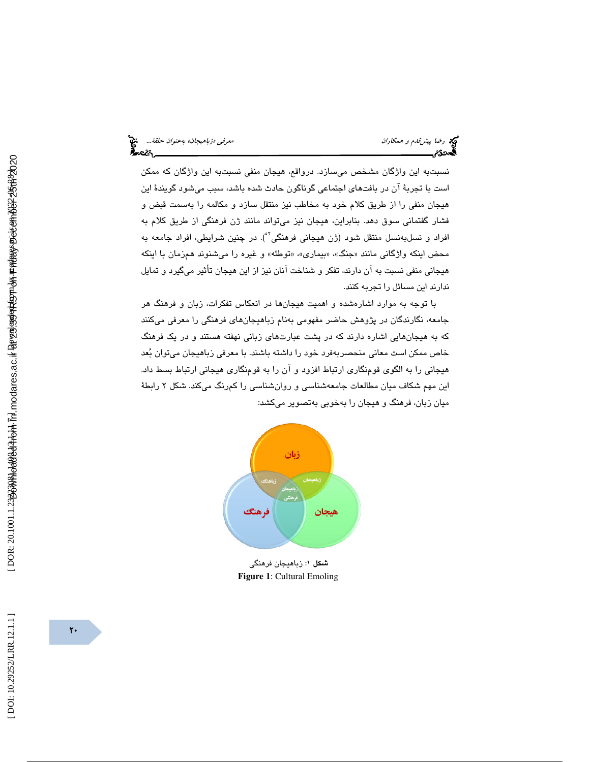رضا پيش *قدم و همكاران معرفي الروابط و تعرفي «زباهيجان» بهعنوان حلقة...*<br>**المحمدى معرفي معرفي معرفي بهان معرفي بهان معرفي الروابط و تصرفي معرفي معرفي معرفي معرفي .**<br>**المحمدى المعرفي المعرفي المعرفي المعرفي المعرفي المعرفي** 

نسبتبه اين واژگان مشخص ميسازد. درواقع ، هيجان منفي نسبتبه اين واژگان كه ممكن است با تجربة آن در بافتهاي اجتماعي گوناگون حادث شده باشد، سبب ميشود گويندة اين هيجان منفي را از طريق كلام خود به مخاطب نيز منتقل سازد و مكالمه را بهسمت قبض و فشار گفتماني سوق دهد. بنابراين، هيجان نيز ميتواند مانند ژن فرهنگي از طريق كلام به افراد و نسلبهنسل منتقل شود (ژن هیجانی فرهنگی<sup>٬°</sup>). در چنین شرایطی، افراد جامعه به محض اینکه واژگانی مانند «جنگ»، «بیماری»، «توطئه» و غیره را میشنوند همزمان با اینکه هيجاني منفي نسبت به آن دارند، تفكر و شناخت آنان نيز از اين هيجان تأثير ميگيرد و تمايل ندارند اين مسائل را تجربه كنند.

 با توجه به موارد اشارهشده و اهميت هيجان ها در انعكاس تفكرات، زبان و فرهنگ هر جامعه، نگارندگان در پژوهش حاضر مفهومي بهنام زباهيجانهاي فرهنگي را معرفي ميكنند كه به هیجانهایی اشاره دارند كه در پشت عبارتهای زبانی نهفته هستند و در یک فرهنگ خاص ممكن است معاني منحصربهفرد خود را داشته باشند. با معرفي زباهيجان ميتوان بعد هيجاني را به الگوي قومنگاري ارتباط افزود و آن را به قومنگاري هيجاني ارتباط بسط داد. اين مهم شكاف ميان مطالعات جامعهشناسي و روانشناسي را كمرنگ ميكند. شكل 2 رابطة ميان زبان، فرهنگ و هيجان را بهخوبي بهتصوير ميكشد:



شكل 1: زباهيجان فرهنگي **Figure 1**: Cultural Emoling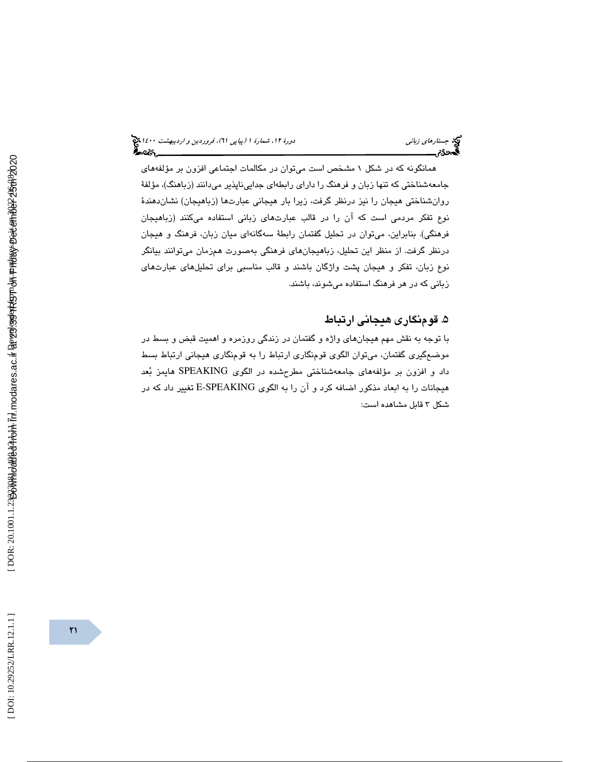همانگونه كه در شكل 1 مشخص است ميتوان در مكالمات اجتماعي افزون بر مؤلفههاي جامعهشناختي كه تنها زبان و فرهنگ را داراي رابط هاي جداييناپذير ميدانند (زباهنگ)، مؤلفة روانشناختي هيجان را نيز درنظر گرفت، زيرا بار هيجاني عبارتها (زباهيجان) نشاندهندة نوع تفكر مردمي است كه آن را در قالب عبارتهاي زباني استفاده ميكنند (زباهيجان فرهنگي). بنابراين، ميتوان در تحليل گفتمان رابطة سه گانهاي ميان زبان، فرهنگ و هيجان درنظر گرفت. از منظر اين تحليل، زباهيجانهاي فرهنگي بهصورت همزمان ميتوانند بيانگر نوع زبان، تفكر و هيجان پشت واژگان باشند و قالب مناسبي براي تحليلهاي عبارتهاي زباني كه در هر فرهنگ استفاده ميشوند، باشند.

## 5. قومنگاري هيجاني ارتباط

 با توجه به نقش مهم هيجانهاي واژه و گفتمان در زندگي روزمره و اهميت قبض و بسط در موضعگيري گفتمان، ميتوان الگوي قومنگاري ارتباط را به قومنگاري هيجاني ارتباط بسط داد و افزون بر مؤلفههاي جامعهشناختي مطرحشده در الگوي SPEAKING هايمز بعد هيجانات را به ابعاد مذكور اضافه كرد و آن را به الگوي SPEAKING-E تغيير داد كه در شكل 3 قابل مشاهده است: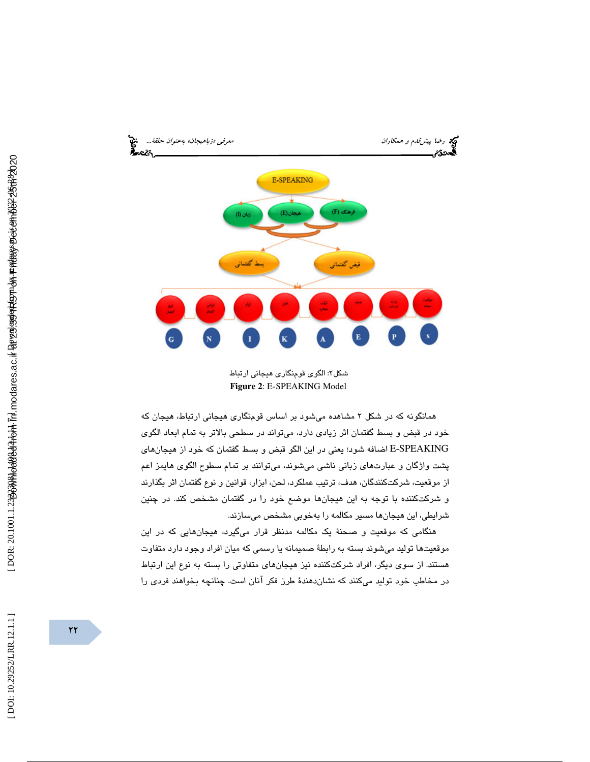

شکل۲: الگوی قومنگار*ی* هیجانی ارتباط **Figure 2**: E-SPEAKING Model

همانگونه كه در شكل 2 مشاهده ميشود بر اساس قومنگاري هيجاني ارتباط، هيجان كه خود در قبض و بسط گفتمان اثر زيادي دارد، ميتواند در سطحي بالاتر به تمام ابعاد الگوي SPEAKING-E اضافه شود؛ يعني در اين الگو قبض و بسط گفتمان كه خود از هيجانهاي پشت واژگان و عبارتهاي زباني ناشي ميشوند، ميتوانند بر تمام سطوح الگوي هايمز اعم از موقعيت، شركتكنندگان، هدف، ترتيب عملكرد، لحن، ابزار، قوانين و نوع گفتمان اثر بگذارند و شركتكننده با توجه به اين هيجانها موضع خود را در گفتمان مشخص كند. در چنين شرايطي، اين هيجانها مسير مكالمه را بهخوبي مشخص ميسازند.

هنگامي كه موقعيت و صحنة يك مكالمه مدنظر قرار ميگيرد، هيجانهايي كه در اين موقعيتها توليد ميشوند بسته به رابطة صميمانه يا رسمي كه ميان افراد وجود دارد متفاوت هستند. از سوي ديگر، افراد شركتكننده نيز هيجانهاي متفاوتي را بسته به نوع اين ارتباط در مخاطب خود توليد ميكنند كه نشاندهندة طرز فكر آنان است. چنانچه بخواهند فردي را

[DOI: 10.29252/LRR.12.1.1]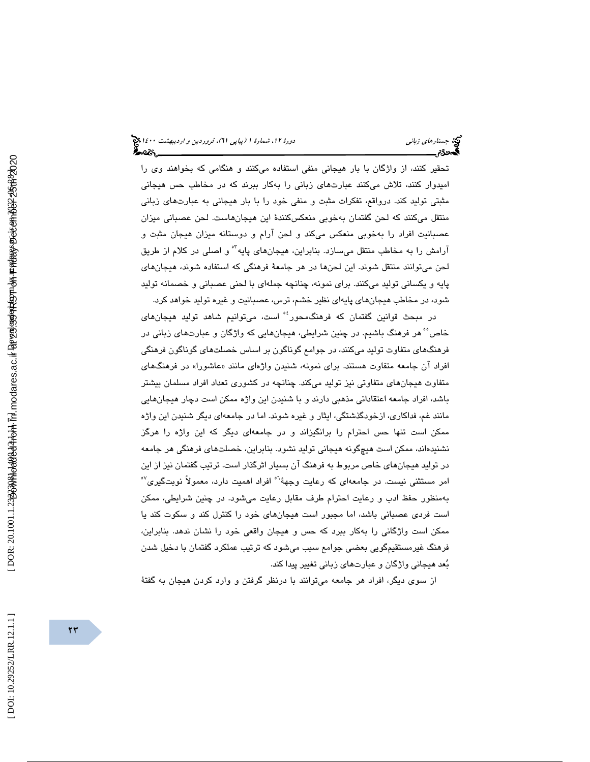تحقير كنند، از واژگان با بار هيجاني منفي استفاده ميكنند و هنگامي كه بخواهند وي را اميدوار كنند، تلاش ميكنند عبارتهاي زباني را بهكار ببرند كه در مخاطب حس هيجاني مثبتي توليد كند. درواقع، تفكرات مثبت و منفي خود را با بار هيجاني به عبارتهاي زباني منتقل ميكنند كه لحن گفتمان بهخوبي منعكسكنندة اين هيجانهاست. لحن عصباني ميزان عصبانيت افراد را بهخوبي منعكس ميكند و لحن آرام و دوستانه ميزان هيجان مثبت و آرامش را به مخاطب منتقل می $\omega$ ازد. بنابراین، هیجانهای پایه $^{\circ}$ و اصلی در کلام از طریق لحن ميتوانند منتقل شوند. اين لحنها در هر جامعة فرهنگي كه استفاده شوند، هيجانهاي پايه و يكساني توليد ميكنند. براي نمونه، چنانچه جملهاي با لحني عصباني و خصمانه توليد شود، در مخاطب هيجانهاي پايهاي نظير خشم، ترس، عصبانيت و غيره توليد خواهد كرد.

در مبحث قوانين گفتمان كه فرهنگ،حور<sup>؛</sup>° است، میتوانيم شاهد توليد هيجانها*ی* خاص° هر فرهنگ باشيم. در چنين شرايطي، هيجانهايي كه واژگان و عبارتهاي زباني در فرهنگهاي متفاوت توليد ميكنند، در جوامع گوناگون بر اساس خصلتهاي گوناگون فرهنگي افراد ان جامعه متفاوت هستند. برای نمونه، شنیدن واژهای مانند «عاشورا» در فرهنگهای متفاوت هيجانهاي متفاوتي نيز توليد ميكند. چنانچه در كشوري تعداد افراد مسلمان بيشتر باشد، افراد جامعه اعتقاداتي مذهبي دارند و با شنيدن اين واژه ممكن است دچار هيجانهايي مانند غم، فداكاري، ازخودگذشتگي ، ايثار و غيره شوند. اما در جامعهاي ديگر شنيدن اين واژه ممكن است تنها حس احترام را برانگيزاند و در جامعهاي ديگر كه اين واژه را هرگز نشنيدهاند، ممكن است هيچگونه هيجاني توليد نشود. بنابراين، خصلتهاي فرهنگي هر جامعه در توليد هيجانهاي خاص مربوط به فرهنگ آن بسيار اثرگذار است. ترتيب گفتمان نيز از اين امر مستثنى نيست. در جامعهاى كه رعايت وجههٔ<sup>٦٠</sup> افراد اهميت دارد، معمولاً نوبتگيرى<sup>٥٧</sup> بهمنظور حفظ ادب و رعايت احترام طرف مقابل رعايت ميشود. در چنين شرايطي، ممكن است فردي عصباني باشد ، اما مجبور است هيجانهاي خود را كنترل كند و سكوت كند يا ممكن است واژگانى را بهكار ببرد كه حس و هيجان واقعى خود را نشان ندهد. بنابراين، فرهنگ غيرمستقيمگويي بعضي جوامع سبب مي شود كه ترتيب عملكرد گفتمان با دخيل شدن بعد هيجاني واژگان و عبارتهاي زباني تغيير پيدا كند.

از سوي ديگر، افراد هر جامعه ميتوانند با درنظر گرفتن و وارد كردن هيجان به گفتة

DOI: 10.29252/LRR.12.1.1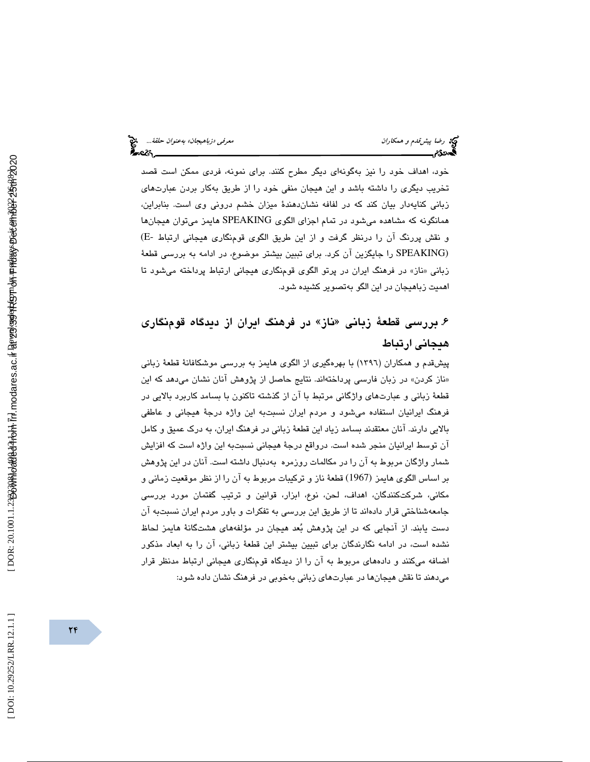خود، اهداف خود را نيز بهگونهاي ديگر مطرح كنند. براي نمونه، فردي ممكن است قصد تخريب ديگرى را داشته باشد و اين هيجان منفى خود را از طريق بهكار بردن عبارتهاى زباني كنايهدار بيان كند كه در لفافه نشاندهندة ميزان خشم دروني وي است. بنابراين، همانگونه كه مشاهده ميشود در تمام اجزاي الگوي SPEAKING هايمز ميتوان هيجانها و نقش پررنگ آن را درنظر گرفت و از اين طريق الگوي قومنگاري هيجاني ارتباط -E( (SPEAKING را جايگزين آن كرد. براي تببين بيشتر موضوع، در ادامه به بررسي قطعة ناز» در فرهنگ ايران در پرتو الگوي قومنگاري هيجاني ارتباط پرداخته ميشود تا زباني « اهميت زباهيجان در اين الگو بهتصوير كشيده شود.

# ۶. بررسی قطعهٔ زبانی «ناز» در فرهنگ ايران از ديدگاه قومنگاری هيجاني ارتباط

پيشقدم و همكاران (1396) با بهر هگيري از الگوي هايمز به بررسي موشكافانة قطعة زباني «ناز كردن» در زبان فارسی پرداختهاند. نتایج حاصل از پژوهش انان نشان میدهد كه این قطعة زباني و عبارتهاي واژگاني مرتبط با آن از گذشته تاكنون با بسامد كاربرد بالايي در فرهنگ ايرانيان استفاده ميشود و مردم ايران نسبتبه اين واژه درجة هيجاني و عاطفي بالايي دارند. آنان معتقدند بسامد زياد اين قطعة زباني در فرهنگ ايران ، به درك عميق و كامل آن توسط ايرانيان منجر شده است. درواقع درجة هيجاني نسبتبه اين واژه است كه افزايش شمار واژگان مربوط به آن را در مكالمات روزمره به دنبال داشته است. آنان در اين پژوهش بر اساس الگوي هايمز (1967) قطعة ناز و تركيبات مربوط به آن را از نظر موقعيت زماني و مكاني، شركتكنندگان، اهداف، لحن، نوع، ابزار، قوانين و ترتيب گفتمان مورد بررسي جامعهشناختي قرار دادهاند تا از طريق اين بررسي به تفكرات و باور مردم ايران نسبتبه آن دست يابند. از آنجايي كه در اين پژوهش بعد هيجان در مؤلفههاي هشتگانة هايمز لحاظ نشده است، در ادامه نگارندگان براي تبيين بيشتر اين قطعة زباني، آن را به ابعاد مذكور اضافه ميكنند و دادههاي مربوط به آن را از ديدگاه قومنگاري هيجاني ارتباط مدنظر قرار ميدهند تا نقش هيجانها در عبارتهاي زباني بهخوبي در فرهنگ نشان داده شود: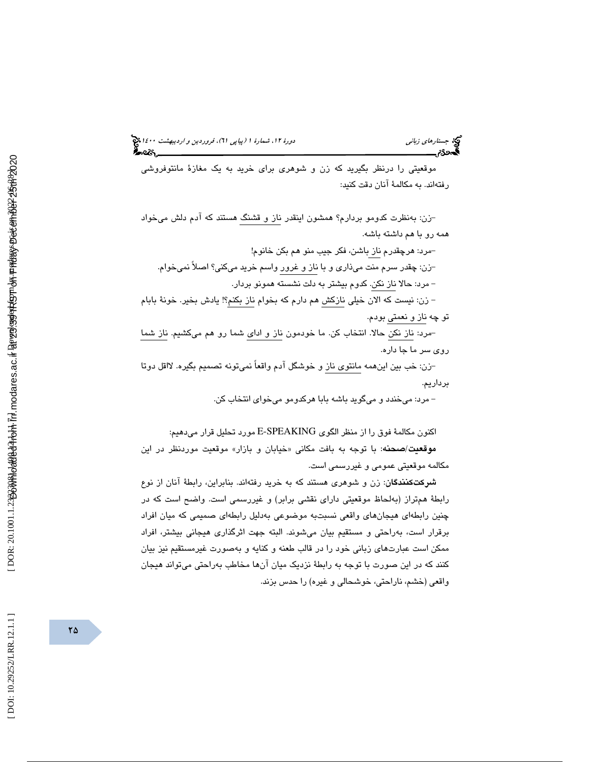(پياپي 61)، فروردين و ارديبهشت 1400 جستارهاي زباني دورة ،12 شمارة 1

موقعيتي را درنظر بگيريد كه زن و شوهري براي خريد به يك مغازة مانتوفروشي رفتهاند. به مكالمة آنان دقت كنيد:

- زن: بهنظرت كدومو بردارم؟ همشون اينقدر ناز و قشنگ هستند كه آدم دلش ميخواد همه رو با هم داشته باشه.

- مرد: هرچقدرم ناز باشن، فكر جيب منو هم بكن خانوم! - زن: چقدر سرم منت ميذاري و با ناز و غرور واسم خريد ميكني؟ اصلاً نميخوام. - مرد: حالا ناز نكن. كدوم بيشتر به دلت نشسته همونو بردار.

 - زن: نيست كه الان خيلي نازكش هم دارم كه بخوام ناز بكنم؟! يادش بخير. خونة بابام تو چه ناز و نعمتي بودم.

- مرد: ناز نكن حالا. انتخاب كن. ما خودمون ناز و اداي شما رو هم ميكشيم. ناز شما روي سر ما جا داره.

- زن: خب بين اينهمه مانتوي ناز و خوشگل آدم واقعاً نميتونه تصميم بگيره. لااقل دوتا برداريم.

- مرد: ميخندد و ميگويد باشه بابا هركدومو ميخواي انتخاب كن.

اكنون مكالمة فوق را از منظر الگوي SPEAKING-E مورد تحليل قرار ميدهيم:

**موقعیت/صحنه**: با توجه به بافت مکانی «خیابان و بازار» موقعیت موردنظر در این مكالمه موقعيتي عمومي و غيررسمي است.

**شركتكنندگان**: زن و شوهري هستند كه به خريد رفتهاند. بنابراين، رابطهٔ آنان از نوع رابطة همتراز (بهلحاظ موقعيتي داراي نقشي برابر) و غيررسمي است. واضح است كه در چنين رابطهاي هيجانهاي واقعي نسبتبه موضوعي بهدليل رابطهاي صميمي كه ميان افراد برقرار است، بهراحتي و مستقيم بيان مي شوند. البته جهت اثرگذاري هيجاني بيشتر ، افراد ممكن است عبارتهاي زباني خود را در قالب طعنه و كنايه و بهصورت غيرمستقيم نيز بيان كنند كه در اين صورت با توجه به رابطة نزديك ميان آنها مخاطب بهراحتي ميتواند هيجان واقعي (خشم، ناراحتي، خوشحالي و غيره) را حدس بزند.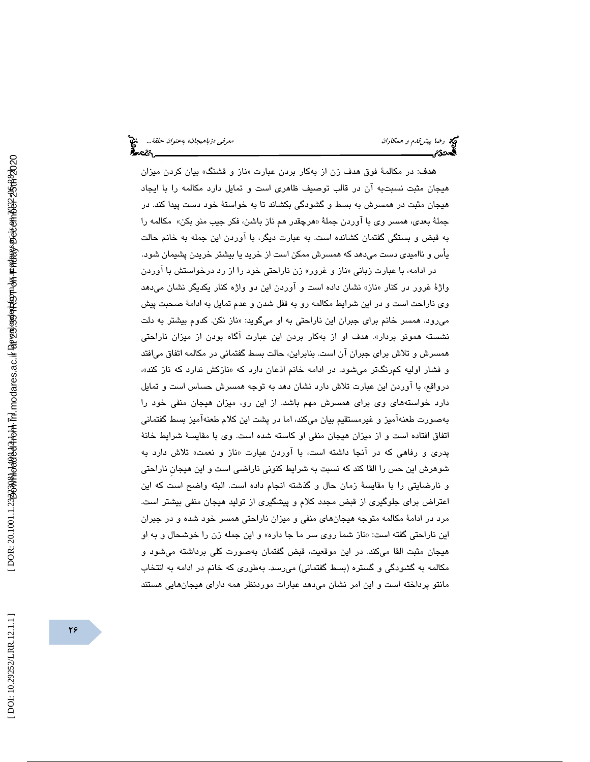ه**دف**: در مكالمهٔ فوق هدف زن از بهكار بردن عبارت «ناز و قشنگ» بیان كردن میزان هيجان مثبت نسبتبه آن در قالب توصيف ظاهري است و تمايل دارد مكالمه را با ايجاد هيجان مثبت در همسرش به بسط و گشودگي بكشاند تا به خواستة خود دست پيدا كند. در جملهٔ بع*دی*، همسر وی با اوردن جملهٔ «هرچقدر هم ناز باشن، فكر جيب منو بكن» مكالمه را به قبض و بستگي گفتمان كشانده است. به عبارت ديگر، با آوردن اين جمله به خانم حالت يأس و نااميدي دست ميدهد كه همسرش ممكن است از خريد يا بيشتر خريدن پشيمان شود.

در ادامه، با عبارت زبان*ی* «ناز و غرور» زن ناراحتی خود را از رد درخواستش با اوردن واژهٔ غرور در كنار «ناز» نشان داده است و اوردن اين دو واژه كنار يكديگر نشان مىدهد وي ناراحت است و در اين شرايط مكالمه رو به قفل شدن و عدم تمايل به ادامة صحبت پيش میرود. همسر خانم برای جبران این ناراحتی به او میگوید: «ناز نکن. کدوم بیشتر به دلت نشسته همونو بردار». هدف او از بهکار بردن این عبارت اگاه بودن از میزان ناراحتی همسرش و تلاش براي جبران آن است. بنابراين، حالت بسط گفتماني در مكالمه اتفاق ميافتد و فشار اولیه کمرنگتر میشود. در ادامه خانم اذعان دارد که «نازکش ندارد که ناز کند»، درواقع، با آوردن اين عبارت تلاش دارد نشان دهد به توجه همسرش حساس است و تمايل دارد خواستههاي وي براي همسرش مهم باشد. از اين رو، ميزان هيجان منفي خود را بهصورت طعنهآميز و غيرمستقيم بيان ميكند، اما در پشت اين كلام طعنهآميز بسط گفتماني اتفاق افتاده است و از ميزان هيجان منفي او كاسته شده است. وي با مقايسة شرايط خانة پدری و رفاهی که در انجا داشته است، با اوردن عبارت «ناز و نعمت» تلاش دارد به شوهرش اين حس را القا كند كه نسبت به شرايط كنوني ناراضي است و اين هيجانِ ناراحتي و نارضايتي را با مقايسة زمان حال و گذشته انجام داده است. البته واضح است كه اين اعتراض براي جلوگيري از قبض مجدد كلام و پيشگيري از توليد هيجان منفي بيشتر است. مرد در ادامة مكالمه متوجه هيجانهاي منفي و ميزان ناراحتي همسر خود شده و در جبران این ناراحتی گفته است: «ناز شما روی سر ما جا داره» و این جمله زن را خوشحال و به او هيجان مثبت القا ميكند. در اين موقعيت، قبض گفتمان بهصورت كلي برداشته ميشود و مكالمه به گشودگي و گستره (بسط گفتماني) ميرسد. به طوري كه خانم در ادامه به انتخاب مانتو پرداخته است و اين امر نشان ميدهد عبارات موردنظر همه داراي هيجانهايي هستند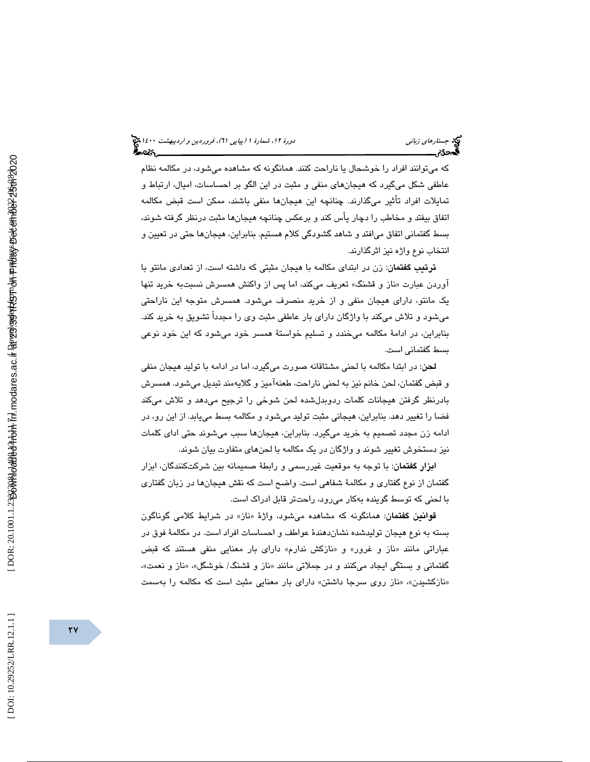كه ميتوانند افراد را خوشحال يا ناراحت كنند. همانگونه كه مشاهده ميشود، در مكالمه نظام عاطفي شكل ميگيرد كه هيجانهاي منفي و مثبت در اين الگو بر احساسات، اميال، ارتباط و تمايلات افراد تأثير ميگذارند. چنانچه اين هيجانها منفي باشند، ممكن است قبض مكالمه اتفاق بيفتد و مخاطب را دچار يأس كند و برعكس چنانچه هيجانها مثبت درنظر گرفته شوند، بسط گفتماني اتفاق ميافتد و شاهد گشودگي كلام هستيم. بنابراين، هيجانها حتي در تعيين و انتخاب نوع واژه نيز اثرگذارند.

ترتيب گفتمان: زن در ابتداي مكالمه با هيجان مثبتي كه داشته است، از تعدادي مانتو با اوردن عبارت «ناز و قشنگ» تعريف مىكند، اما پس از واكنش همسرش نسبتبه خريد تنها يك مانتو ، داراي هيجان منفي و از خريد منصرف ميشود. همسرش متوجه اين ناراحتي ميشود و تلاش ميكند با واژگان داراي بار عاطفي مثبت وي را مجدداً تشويق به خريد كند. بنابراين، در ادامة مكالمه ميخندد و تسليم خواستة همسر خود ميشود كه اين خود نوعي بسط گفتماني است.

لحن: در ابتدا مكالمه با لحني مشتاقانه صورت ميگيرد، اما در ادامه با توليد هيجان منفي و قبض گفتمان، لحن خانم نيز به لحني ناراحت، طعنهآميز و گلايهمند تبديل ميشود. همسرش بادرنظر گرفتن هيجانات كلمات ردوبدلشده لحن شوخي را ترجيح ميدهد و تلاش ميكند فضا را تغيير دهد. بنابراين، هيجاني مثبت توليد ميشود و مكالمه بسط مييابد. از اين رو، در ادامه زن مجدد تصميم به خريد ميگيرد. بنابراين، هيجانها سبب ميشوند حتي اداي كلمات نيز دستخوش تغيير شوند و واژگان در يك مكالمه با لحنهاي متفاوت بيان شوند.

ابزار گفتمان: با توجه به موقعيت غيررسمي و رابطة صميمانه بين شركتكنندگان، ابزار گفتمان از نوع گفتاري و مكالمة شفاهي است. واضح است كه نقش هيجانها در زبان گفتاري با لحني كه توسط گوينده بهكار ميرود، راحتتر قابل ادراك است.

ق**وانین گفتمان**: همانگونه که مشاهده میشود، واژهٔ «ناز» در شرایط کلامی گوناگون د بسته به نوع هيجان توليدشده نشان هندة عواطف و احساسات افراد است. در مكالمة فوق در عباراتی مانند «ناز و غرور» و «نازکش ندارم» دارای بار معنایی منفی هستند که قبض گفتمانی و بستگی ایجاد میکنند و در جملاتی مانند «ناز و قشنگ/ خوشگل»، «ناز و نعمت»، «نازكشيدن»، «ناز روى سرجا داشتن» داراى بار معنايى مثبت است كه مكالمه را بهسمت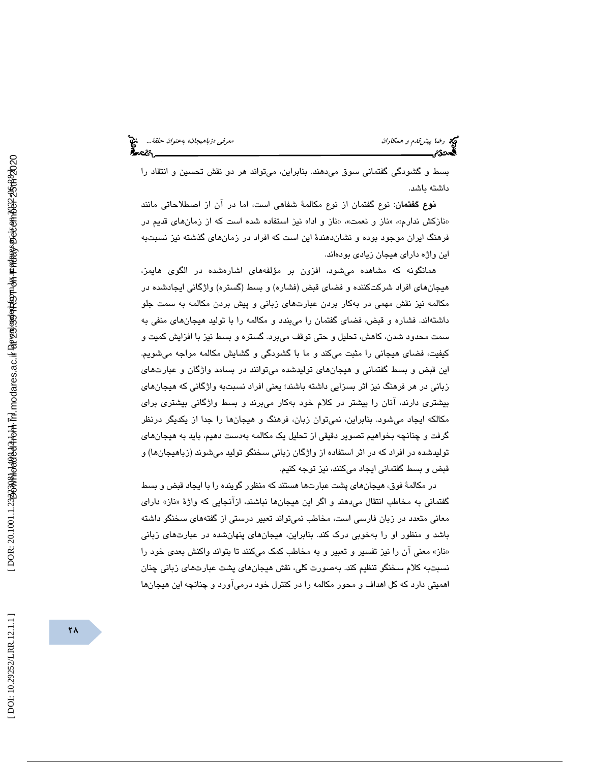بسط و گشودگي گفتماني سوق ميدهند. بنابراين، ميتواند هر دو نقش تحسين و انتقاد را داشته باشد.

نوع گفتمان: نوع گفتمان از نوع مكالمة شفاهي است ، اما در آن از اصطلاحاتي مانند «نازكش ندارم»، «ناز و نعمت»، «ناز و ادا» نيز استفاده شده است كه از زمانهاى قديم در فرهنگ ايران موجود بوده و نشاندهندة اين است كه افراد در زمانهاي گذشته نيز نسبتبه اين واژه داراي هيجان زيادي بودهاند.

همانگونه كه مشاهده مي شود، افزون بر مؤلفههاي اشارهشده در الگوي هايمز، هيجانهاي افراد شركتكننده و فضاي قبض (فشاره) و بسط (گستره) واژگاني ايجادشده در مكالمه نيز نقش مهمی در بهكار بردن عبارتهای زبانی و پيش بردن مكالمه به سمت جلو داشتهاند. فشاره و قبض، فضاي گفتمان را ميبندد و مكالمه را با توليد هيجانهاي منفي به سمت محدود شدن، كاهش، تحليل و حتي توقف م يبرد. گستره و بسط نيز با افزايش كميت و كيفيت، فضاي هيجاني را مثبت ميكند و ما با گشودگي و گشايش مكالمه مواجه ميشويم. اين قبض و بسط گفتماني و هيجانهاي توليدشده ميتوانند در بسامد واژگان و عبارتهاي زباني در هر فرهنگ نيز اثر بسزايي داشته باشند؛ يعني افراد نسبتبه واژگاني كه هيجانهاي بيشتری دارند، انان را بيشتر در كلام خود بهكار مىبرند و بسط واژگانی بيشتری برای مكالكه ايجاد ميشود. بنابراين، نميتوان زبان، فرهنگ و هيجانها را جدا از يكديگر درنظر گرفت و چنانچه بخواهیم تصویر دقیقی از تحلیل یک مکالمه بهدست دهیم، باید به هیجانهای توليدشده در افراد كه در اثر استفاده از واژگان زباني سخنگو توليد ميشوند (زباهيجانها) و قبض و بسط گفتماني ايجاد ميكنند، نيز توجه كنيم.

در مكالمهٔ فوق، هیجانهای پشت عبارتها هستند كه منظور گوینده را با ایجاد قبض و بسط گفتمانی به مخاطب انتقال میدهند و اگر این هیجانها نباشند، ازانجایی که واژهٔ «ناز» دارای معاني متعدد در زبان فارسي است، مخاطب نميتواند تعبير درستي از گفتههاي سخنگو داشته باشد و منظور او را بهخوبي درك كند. بنابراين، هيجانهاي پنهانشده در عبارتهاي زباني ناز» معني آن را نيز تفسير و تعبير و به مخاطب كمك ميكنند تا بتواند واكنش بعدي خود را » نسبتبه كلام سخنگو تنظيم كند. بهصورت كلي، نقش هيجانهاي پشت عبارتهاي زباني چنان اهميتي دارد كه كل اهداف و محور مكالمه را در كنترل خود درميآورد و چنانچه اين هيجانها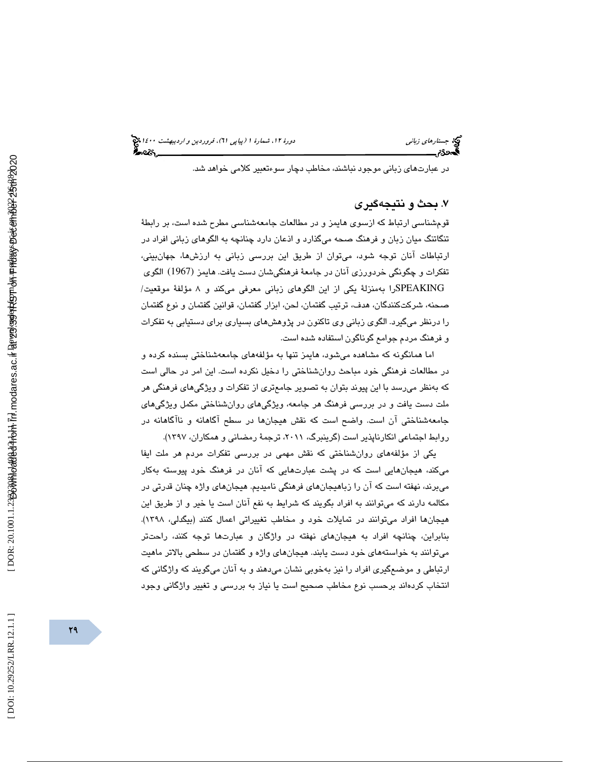در عبارتهاي زباني موجود نباشند، مخاطب دچار سوءتعبير كلامي خواهد شد.

## 7. بحث و نتيجهگيري

 قومشناسي ارتباط كه ازسوي هايمز و در مطالعات جامعهشناسي مطرح شده است، بر رابطة تنگاتنگ ميان زبان و فرهنگ صحه ميگذارد و اذعان دارد چنانچه به الگوهاي زباني افراد در ارتباطات آنان توجه شود، ميتوان از طريق اين بررسي زباني به ارزشها، جهانبيني، تفكرات و چگونگي خردورزي آنان در جامعة فرهنگيشان دست يافت. هايمز (1967) الگوي SPEAKINGرا بهمنزلة يكي از اين الگوهاي زباني معرفي ميكند و 8 مؤلفة موقعيت/ صحنه، شركتكنندگان، هدف، ترتيب گفتمان، لحن، ابزار گفتمان، قوانين گفتمان و نوع گفتمان را درنظر ميگيرد. الگوي زباني وي تاكنون در پژوهشهاي بسياري براي دستيابي به تفكرات و فرهنگ مردم جوامع گوناگون استفاده شده است.

اما همانگونه كه مشاهده ميشود، هايمز تنها به مؤلفههاي جامعهشناختي بسنده كرده و در مطالعات فرهنگي خود مباحث روانشناختي را دخيل نكرده است. اين امر در حالي است كه بهنظر ميرسد با اين پيوند بتوان به تصوير جامعتري از تفكرات و ويژگيهاي فرهنگي هر ملت دست يافت و در بررسي فرهنگ هر جامعه، ويژگيهاي روانشناختي مكمل ويژگيهاي جامعهشناختي آن است. واضح است كه نقش هيجان ها در سطح آگاهانه و ناآگاهانه در روابط اجتماعي انكارناپذير است (گرينبرگ، ،2011 ترجمة رمضاني و همكاران، 1397 ).

يكي از مؤلفههاي روانشناختي كه نقش مهمي در بررسي تفكرات مردم هر ملت ايفا ميكند، هيجانهايي است كه در پشت عبارتهايي كه آنان در فرهنگ خود پيوسته بهكار ميبرند، نهفته است كه آن را زباهيجانهاي فرهنگي ناميديم. هيجانهاي واژه چنان قدرتي در مكالمه دارند كه ميتوانند به افراد بگويند كه شرايط به نفع آنان است يا خير و از طريق اين هيجانها افراد ميتوانند در تمايلات خود و مخاطب تغييراتي اعمال كنند (بيگدلي، 1398). بنابراين، چنانچه افراد به هيجانهاي نهفته در واژگان و عبارتها توجه كنند، راحتتر ميتوانند به خواستههاي خود دست يابند. هيجانهاي واژه و گفتمان در سطحي بالاتر ماهيت ارتباطي و موضعگيري افراد را نيز بهخوبي نشان ميدهند و به آنان ميگويند كه واژگاني كه انتخاب كردهاند برحسب نوع مخاطب صحيح است يا نياز به بررسي و تغيير واژگاني وجود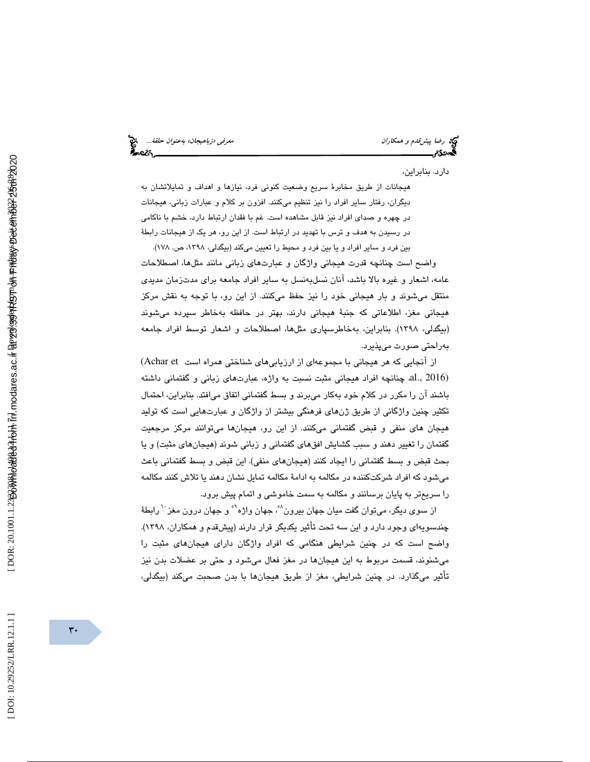رضا پيش *قدم و همكاران معنوان حلقة...*<br>پيش معرفي معرفي معرفي به معنى به عنوان حلقة...<br>پ**يش معرض معرفي** معرفي معرفي معرفي بهاي معرفي بهاي معرفي معرفي معرفي معرفي معرفي معرفي معرفي معرفي معرفي معرفي م

دارد. بنابراين،

هيجانات از طريق مخابرة سريع وضعيت كنوني فرد، نيازها و اهداف و تمايلاتشان به ديگران، رفتار ساير افراد را نيز تنظيم ميكنند. افزون بر كلام و عبارات زباني، هيجانات در چهره و صداي افراد نيز قابل مشاهده است. غم با فقدان ارتباط دارد، خشم با ناكامي در رسيدن به هدف و ترس با تهديد در ارتباط است. از اين رو، هر يك از هيجانات رابطة

بين فرد و ساير افراد و يا بين فرد و محيط را تعيين ميكند (بيگدلي، ،1398 ص. 178 ). واضح است چنانچه قدرت هيجاني واژگان و عبارتهاي زباني مانند مثلها، اصطلاحات عامه، اشعار و غيره بالا باشد، آنان نسلبهنسل به ساير افراد جامعه براي مدتزمان مديدي منتقل ميشوند و بار هيجاني خود را نيز حفظ ميكنند. از اين رو، ب ا توجه به نقش مركز هيجاني مغز، اطلاعاتي كه جنبة هيجاني دارند، بهتر در حافظه بهخاطر سپرده ميشوند (بيگدلي، ١٣٩٨). بنابراين، بهخاطرسپاري مثلها، اصطلاحات و اشعار توسط افراد جامعه بهراحتي صورت ميپذيرد.

از آنجايي كه هر هيجاني با مجموعهاي از ارزيابي هاي شناختي همراه است Achar et ) (2016 .,al، چنانچه افراد هيجاني مثبت نسبت به واژه، عبارتهاي زباني و گفتمان ي داشته باشند آن را مكرر در كلام خود بهكار ميبرند و بسط گفتماني اتفاق ميافتد. بنابراين، احتمال تكثير چنين واژگاني از طريق ژنهاي فرهنگي بيشتر از واژگان و عبارتهايي است كه توليد هيجان هاي منفي و قبض گفتماني ميكنند. از اين رو، هيجانها ميتوانند مركز مرجعيت گفتمان را تغيير دهند و سبب گشايش افقهاي گفتماني و زباني نشو د (هيجانهاي مثبت) و يا بحث قبض و بسط گفتماني را ايجاد كنند (هيجانهاي منفي). اين قبض و بسط گفتماني باعث ميشود كه افراد شركتكننده در مكالمه به ادامة مكالمه تمايل نشان دهند يا تلاش كنند مكالمه را سريعتر به پايان برسانند و مكالمه به سمت خاموشي و اتمام پيش برود.

از سوی دیگر، میتوان گفت میان جهان بیرون<sup>^</sup>، جهان واژه<sup>۹</sup>° و جهان درون مغز <sup>۲۰</sup> رابطهٔ چندسویهای وجود دارد و این سه تحت تاثیر یکدیگر قرار دارند (پیشقدم و همکاران، ۱۳۹۸). واضح است كه در چنين شرايطي هنگامي كه افراد واژگان داراي هيجانهاي مثبت را ميشنوند، قسمت مربوط به اين هيجانها در مغز فعال ميشود و حتي بر عضلات بدن نيز تأثير ميگذارد. در چنين شرايطي، مغز از طريق هيجانها با بدن صحبت ميكند (بيگدلي،

 $r \cdot$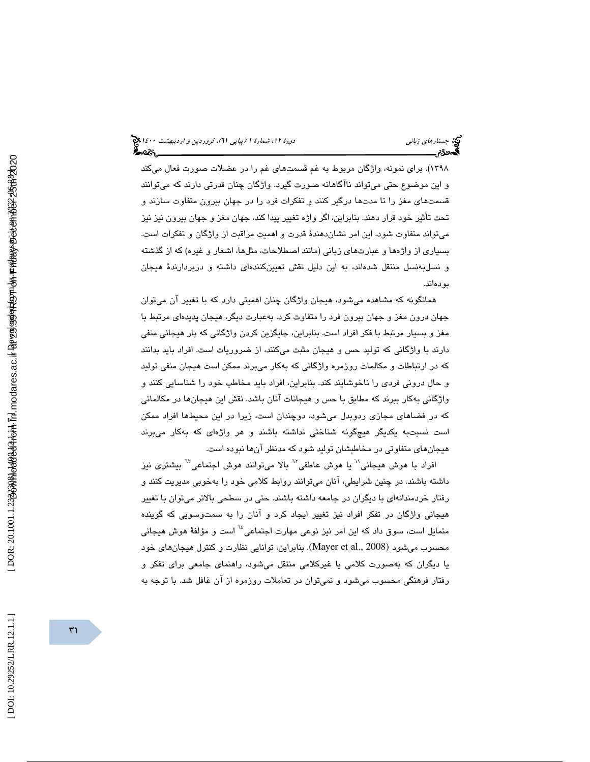# (پياپي 61)، فروردين و ارديبهشت 1400 جستارهاي زباني دورة ،12 شمارة 1

1398). براي نمونه، واژگان مربوط به غم قسمتهاي غم را در عضلات صورت فعال ميكند و اين موضوع حتي ميتواند ناآگاهانه صورت گيرد. واژگان چنان قدرتي دارند كه ميتوانند قسمتهاي مغز را تا مدتها درگير كنند و تفكرات فرد را در جهان بيرون متفاوت سازند و تحت تأثير خود قرار دهند. بنابراين، اگر واژه تغيير پيدا كند، جهان مغز و جهان بيرون نيز نيز ميتواند متفاوت شود. اين امر نشاندهندة قدرت و اهميت مراقبت از واژگان و تفكرات است. بسياري از واژهها و عبارتهاي زباني (مانند اصطلاحات، مثلها، اشعار و غيره) كه از گذشته و نسلبهنسل منتقل شدهاند، به اين دليل نقش تعيينكننده و اي داشته دربردارندة هيجان بودهاند.

 همانگونه كه مشاهده ميشود، هيجان واژگان چنان اهميتي دارد كه با تغيير آن ميتوان جهان درون مغز و جهان بيرون فرد را متفاوت كرد. بهعبارت ديگر، هيجان پديدهاي مرتبط با مغز و بسيار مرتبط با فكر افراد است. بنابراين، جايگزين كردن واژگاني كه بار هيجاني منفي دارند با واژگاني كه توليد حس و هيجان مثبت ميكنند، از ضروريات است. افراد بايد بدانند كه در ارتباطات و مكالمات روزمره واژگاني كه بهكار ميبرند ممكن است هيجان منفي توليد و حال دروني فردي را ناخوشايند كند. بنابراين، افراد بايد مخاطب خود را شناسايي كنند و واژگاني بهكار ببرند كه مطابق با حس و هيجانات آنان باشد. نقش اين هيجانها در مكالماتي كه در فضاهاي مجازي ردوبدل ميشود، دوچندان است ، زيرا در اين محيطها افراد ممكن است نسبتبه يكديگر هيچگونه شناختي نداشته باشند و هر واژهاي كه بهكار ميبرند هيجانهاي متفاوتي در مخاطبشان توليد شود كه مدنظر آنها نبوده است.

افراد با هوش هيجاني'<sup>י</sup> يا هوش عاطفي'<sup>י</sup> بالا مىتوانند هوش اجتماعى'' بيشترى نيز داشته باشند. در چنين شرايطي، آنان ميتوانند روابط كلامي خود را بهخوبي مديريت كنند و رفتار خردمندانهاي با ديگران در جامعه داشته باشند. حتي در سطحي بالاتر ميتوان با تغيير هيجاني واژگان در تفكر افراد نيز تغيير ايجاد كرد و آنان را به سمتوسويي كه گوينده متمايل است، سوق داد كه اين امر نيز نوعي مهارت اجتماعي<sup>1⁄</sup> است و مؤلفهٔ هوش هيجاني محسوب ميشود (2008 .,al et Mayer(. بنابراين، توانايي نظارت و كنترل هيجانهاي خود يا ديگران كه بهصورت كلامي يا غيركلامي منتقل ميشود، راهنماي جامعي براي تفكر و رفتار فرهنگي محسوب ميشود و نميتوان در تعاملات روزمره از آن غافل شد. با توجه به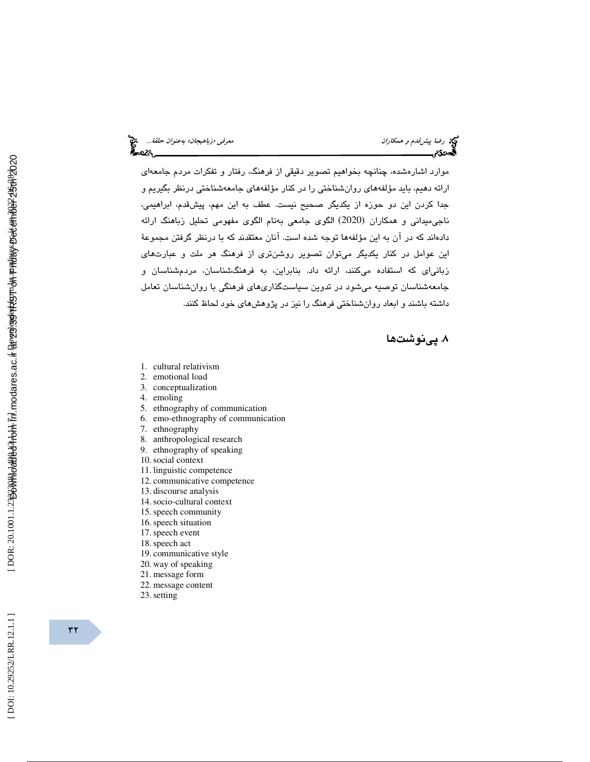موارد اشارهشده، چنانچه بخواهيم تصوير دقيقي از فرهنگ، رفتار و تفكرات مردم جامعه اي ارائه دهيم، بايد مؤلفههاي روانشناختي را در كنار مؤلفههاي جامعهشناختي درنظر بگيريم و جدا كردن اين دو حوزه از يكديگر صحيح نيست. عطف به اين مهم، پيشقدم، ابراهيمي، ناجی،میدانی و همکاران (2020) الگوی جامعی بهنام الگوی مفهومی تحلیل زباهنگ ارائه دادهاند كه در آن به اين مؤلفهها توجه شده است. آنان معتقدند كه با درنظر گرفتن مجموعة اين عوامل در كنار يكديگر ميتوان تصوير روشنتري از فرهنگ هر ملت و عبارتهاي زبانياي كه استفاده ميكنند، ارائه داد. بنابراين، به فرهنگشناسان، مردمشناسان و جامعهشناسان توصيه ميشود در تدوين سياستگذاريهاي فرهنگي با روانشناسان تعامل داشته باشند و ابعاد روانشناختي فرهنگ را نيز در پژوهشهاي خود لحاظ كنند .

# 8. پينوشتها

- 1. cultural relativism
- 2. emotional load
- 3. conceptualization
- 4. emoling
- 5. ethnography of communication
- 6. emo-ethnography of communication
- 7. ethnography
- 8. anthropological research
- 9. ethnography of speaking
- 10.social context
- 11. linguistic competence
- 12. communicative competence
- 13. discourse analysis
- 14.socio-cultural context
- 15.speech community
- 16.speech situation
- 17.speech event
- 18.speech act
- 19. communicative style
- 20. way of speaking
- 21. message form
- 22. message content
- 23.setting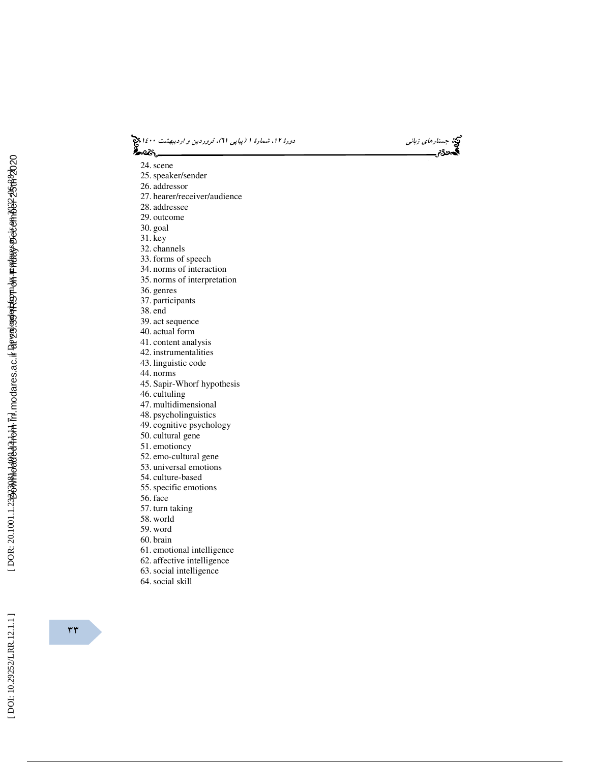(پياپي 61)، فروردين و ارديبهشت 1400 جستارهاي زباني دورة ،12 شمارة 1

24.scene

- 25.speaker/sender
- 26. addressor
- 27. hearer/receiver/audience
- 28. addressee
- 29. outcome
- 30. goal
- 31. key
- 32. channels
- 33. forms of speech
- 34. norms of interaction
- 35. norms of interpretation
- 36. genres
- 37. participants
- 38. end
- 39. act sequence
- 40. actual form
- 41. content analysis
- 42. instrumentalities
- 43. linguistic code
- 44. norms
- 45. Sapir-Whorf hypothesis
- 46. cultuling
- 47. multidimensional
- 48. psycholinguistics
- 49. cognitive psychology
- 50. cultural gene
- 51. emotioncy
- 52. emo-cultural gene
- 53. universal emotions
- 54. culture-based
- 55.specific emotions
- 56. face
- 57. turn taking
- 58. world
- 59. word
- 60. brain
- 61. emotional intelligence
- 62. affective intelligence
- 63.social intelligence
- 64.social skill

 $rr$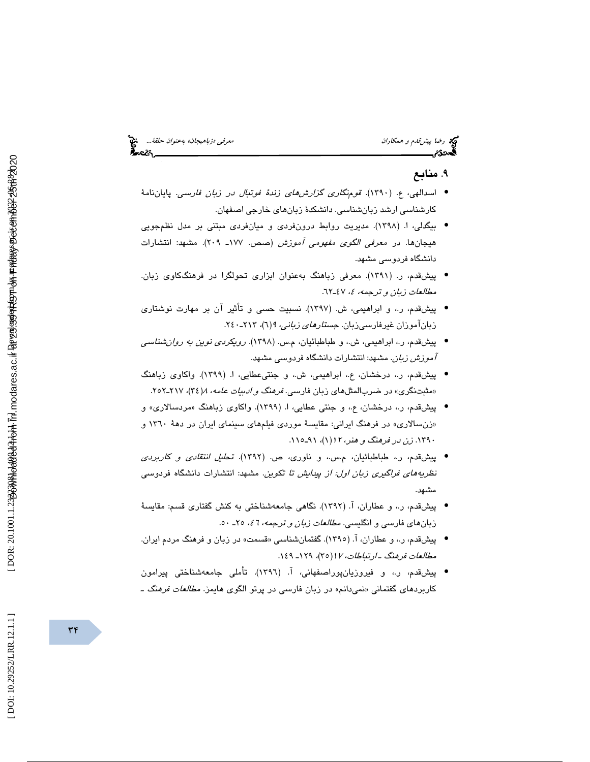### 9. منابع

- اسدالهي، ع. (١٣٩٠). ق*ومنگاري گزارش هاي زندهٔ فوتبال در زبان فارسي*. پاياننامهٔ كارشناسي ارشد زبانشناسي . دانشكدة زبانهاي خارجي اصفهان.
- بيگدلي، (ا. 1398). مديريت روابط درونفردي و ميانفردي مبتني بر مدل نظمجويي هيجانها. در معرفي الگوي مفهومي آموزش (صص. 177ـ 209). مشهد: انتشارات دانشگاه فردوسي مشهد.
- پيشقدم، (ر. 1391). معرفي زباهنگ بهعنوان ابزاري تحولگرا در فرهنگكاوي زبان. مطالعات زبان و ترجمه، ٤، ٤٧ـ٦٢.
- پيشقدم، ر،. و ابراهيمي، (ش. 1397). نسبيت حسي و تأثير آن بر مهارت نوشتاري زباناموزان غیرفارسیزبان. *جستارهای زبانی، ۹(*۱)، ۲۱۳-۲٤۰.
- پیشقدم، ر.، ابراهیمی، ش.، و طباطبائیان، م.س. (۱۳۹۸). *رویکردی نوین به روان شناسی* آموزش زبان. مشهد: انتشارات دانشگاه فردوسي مشهد.
- پ يشقدم، ر،. درخشان، ع،. ابراهيمي، ش،. و جنتيعطايي، (ا. 1399). واكاوي زباهنگ «مثبتنگری» در ضربالمثلهای زبان فارسی. *فرهنگ و ادبیات عامه*، ۱/ ۳٤)، ۲۱۷ـ۲۰۲.
- پیشقدم، ر.، درخشان، ع.، و جنتی عطایی، ا. (۱۳۹۹). واکاوی زباهنگ «مردسالاری» و «زنسالاری» در فرهنگ ايراني: مقايسهٔ موردی فيلمهای سينمای ايران در دههٔ ۱۳٦۰ و .1390 زن در فرهنگ و هنر، <sup>12</sup> 1( )، ـ91 115 .
- پیشقدم، ر.، طباطبائیان، م.س.، و ناوری، ص. (۱۳۹۲). تح*لیل انتقادی و کاربردی* نظريههاي فراگيري زبان اول: از پيدايش تا تكوين. مشهد: انتشارات دانشگاه فردوسي مشهد.
- پيشقدم، ر،. و عطاران، (آ. 1392). نگاهي جامعهشناختي به كنش گفتاري قسم: مقايسة زبانهای فارسی و انگلیسی. *مطالعات زبان و ترجمه*، 1 <sup>ع</sup>، ٢٥ـ ٥٠.
- پیشقدم، ر.، و عطاران، آ. (١٣٩٥). گفتمانشناسی «قسمت» در زبان و فرهنگ مردم ایران. مطالعات فرهنگ ــارتباطات، ۱۲(۲۵)، ۱۲۹ـ ۱٤۹.
- پیشقدم، ر.، و فیروزیان،پوراصفهانی، آ. (١٣٩٦). تأملی جامعهشناختی پیرامون کاربردهای گفتمانی «نمیدانم» در زبان فارسی در پرتو الگوی هایمز. *مطالعات فرهنگ ـ*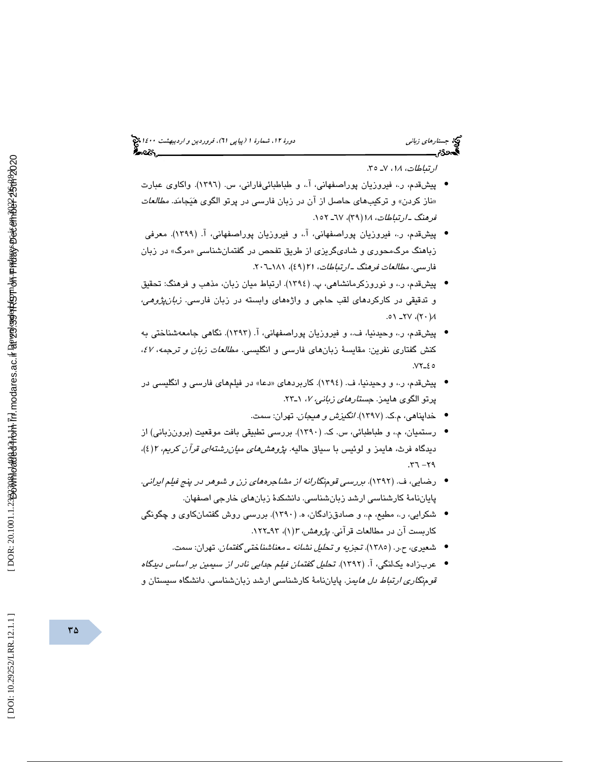# (پياپي 61)، فروردين و ارديبهشت 1400 جستارهاي زباني دورة ،12 شمارة 1

ارتباطات، <sup>18</sup> ،7 ـ . 35

- پيشقدم، ر.، فيروزيان پوراصفهاني، آ.، و طباطبائيفاراني، س. (١٣٩٦). واكاوي عبارت «ناز کردن» و ترکیبهای حاصل از ان در زبان فارسی در پرتو الگوی هَیَجامَد. *مطالعات* فرهنگ ــارتباطات، ۱۸(۳۹)، ٦۷ـ ١٥٢.
- پیشقدم، ر.، فیروزیان پوراصفهانی، آ.، و فیروزیان پوراصفهانی، آ. (۱۳۹۹). معرفی زباهنگ مرگ،محوری و شادیگریزی از طریق تفحص در گفتمانشناسی «مرگ» در زبان فارسى. *مطالعات فرهنگ ــ ارتباطات، ۲۱(*٤٩)، ۲۰۱۱ـــــ<sup>7</sup>۰۲.
- پيشقدم، و ر،. نوروزكرمانشاهي، (پ. 1394). ارتباط ميان زبان، مذهب و فرهنگ: تحقيق و تدقيقي در كاركردهاي لقب حاجي و واژههاي وابسته در زبان فارسي. زبانپژوهي، .0۱ - 7۷، (۲۰)،  $\forall$ ۲
- پیشقدم، ر.، وحیدنیا، ف.، و فیروزیان پوراصفهانی، آ. (۱۳۹۳). نگاهی جامعهشناختی به كنش گفتاري نفرين: مقايسة زبانهاي فارسي و انگليسي. *مطالعات زبان و ترجمه، ٤٧*،  $YY - 20$
- پيشقدم، ر،. و وحيدنيا، (ف. 1394). كاربردهاي « دعا » در فيلمهاي فارسي و انگليسي در پرتو الگوی هايمز. *جستارهای زبانی، ۷*، ۱ـ۲۳.
	- خداپناهي، م.ک. (۱۳۹۷). *انگيزش و هيجان*. تهران: سمت.
- رستمیان، م.، و طباطبائي، س. ک. (١٣٩٠). بررسي تطبيقي بافت موقعيت (برونزباني) از دیدگاه فرث، هایمز و لوئیس با سیاق حالیه. *پژوهشهای میانرشتهای قرآن کریم*، ۲(٤)،  $.77 - 79$
- رضايي، (ف. 1392). بررسي قومنگارانه از مشاجرههاي زن و شوهر در پنج فيلم ايراني. پاياننامة كارشناسي ارشد زبانشناسي. دانشكدة زبانهاي خارجي اصفهان.
- شكرايي، ر،. مطيع، م،. و صادقزادگان، (ه. 1390). بررسي روش گفتمانكاوي و چگونگي کاربست ان در مطالعات قران*ی. پژوهش، ۳(*۱)، ۹۳ـ۱۲۲.
	- شعیری، ح.ر. (١٣٨٥). تج*زیه و تحلیل نشانه ـ معناشناختی گفتمان*. تهران: سمت.
- عربزاده يكانگى، آ. (١٣٩٢). تح*ليل گفتمان فيلم جدايى نادر از سيمين بر اساس دينگاه* قومنگاري ارتباط دل هايمز. پاياننامة كارشناسي ارشد زبانشناسي. دانشگاه سيستان و

DOI: 10.29252/LRR.12.1.1]

 $\mathsf{r}\,\mathsf{\Delta}$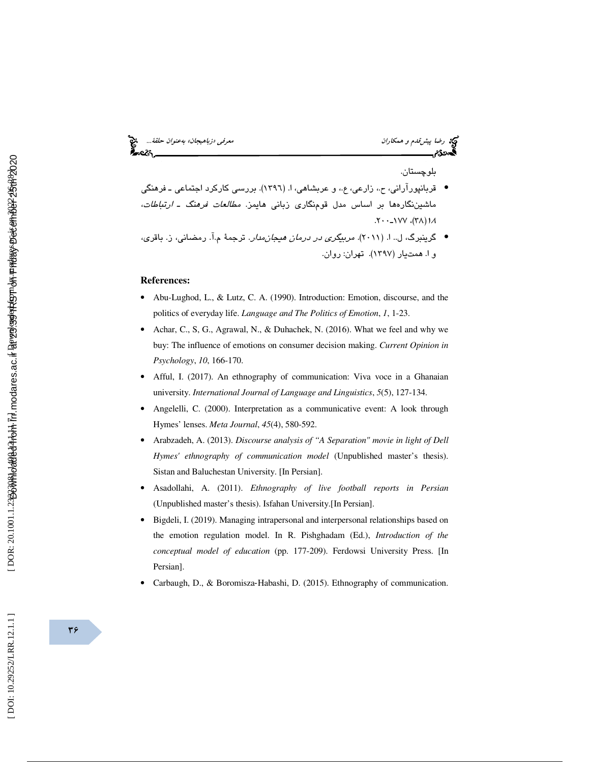# رضا پيش *قدم و همكاران معرفي الروابط و نام بهعنوان حلقة...*<br>المعرفي معرفي معرفي معرفي معرفة معرفي بهان معرفي الروابط و المعرفي الروابط و المعرفي المعرفي معرفي معرفة معرفة<br>المعرفي المعرفي المعرفي المعرفين المعرفين المعرفين

بلوچستان.

- قربانپورآراني، ح،. زارعي، ع،. و عربشاهي، (ا. 1396). بررسي كاركرد اجتماعي ـ فرهنگي ماشيننگارهها بر اساس مدل قومنگاري زباني هايمز. مطالعات فرهنگ ـ ارتباطات، ۱۸ (۳۸)، ۱۷۷–۲۰۰.
- گرینبرگ، ل.. ا. (۲۰۱۱). *مربیگری در درمان هیجانمدار*. ترجمهٔ م.آ. رمضانی، ز. باقری، ا. و همت ( يار 1397). تهران: روان.

#### **References:**

- Abu-Lughod, L., & Lutz, C. A. (1990). Introduction: Emotion, discourse, and the politics of everyday life. *Language and The Politics of Emotion*, *1*, 1-23.
- Achar, C., S, G., Agrawal, N., & Duhachek, N. (2016). What we feel and why we buy: The influence of emotions on consumer decision making. *Current Opinion in Psychology* , *10*, 166-170.
- Afful, I. (2017). An ethnography of communication: Viva voce in a Ghanaian university. *International Journal of Language and Linguistics*, *5*(5), 127-134.
- Angelelli, C. (2000). Interpretation as a communicative event: A look through Hymes' lenses. *Meta Journal*, *45*(4), 580-592.
- Arabzadeh, A. (2013). *Discourse analysis of "A Separation" movie in light of Dell Hymes' ethnography of communication model* (Unpublished master's thesis). Sistan and Baluchestan University. [In Persian].
- Asadollahi, A. (2011). *Ethnography of live football reports in Persian*  (Unpublished master's thesis). Isfahan University.[In Persian].
- Bigdeli, I. (2019). Managing intrapersonal and interpersonal relationships based on the emotion regulation model. In R. Pishghadam (Ed.), *Introduction of the conceptual model of education* (pp. 177-209). Ferdowsi University Press. [In Persian].
- Carbaugh, D., & Boromisza ‐Habashi, D. (2015). Ethnography of communication.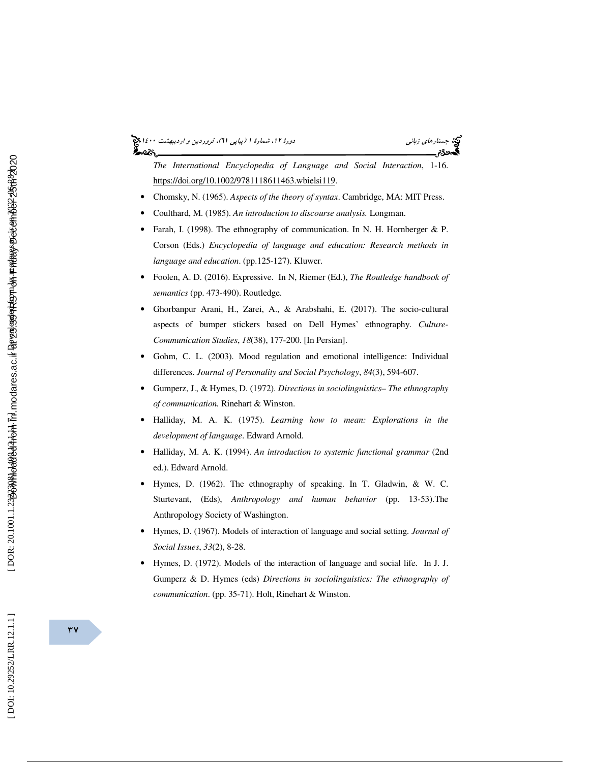# (پياپي 61)، فروردين و ارديبهشت 1400 جستارهاي زباني دورة ،12 شمارة 1

*The International Encyclopedia of Language and Social Interaction*, 1-16. https://doi.org/10.1002/9781118611463.wbielsi119.

- Chomsky, N. (1965). *Aspects of the theory of syntax*. Cambridge, MA: MIT Press.
- Coulthard, M. (1985). *An introduction to discourse analysis.* Longman.
- Farah, I. (1998). The ethnography of communication. In N. H. Hornberger & P. Corson (Eds.) *Encyclopedia of language and education: Research methods in language and education*. (pp.125-127). Kluwer.
- Foolen, A. D. (2016). Expressive. In N, Riemer (Ed.), *The Routledge handbook of semantics* (pp. 473-490). Routledge.
- Ghorbanpur Arani, H., Zarei, A., & Arabshahi, E. (2017). The socio-cultural aspects of bumper stickers based on Dell Hymes' ethnography. *Culture-Communication Studies*, *18*(38), 177-200. [In Persian].
- Gohm, C. L. (2003). Mood regulation and emotional intelligence: Individual differences. *Journal of Personality and Social Psychology*, *84*(3), 594-607.
- Gumperz, J., & Hymes, D. (1972). *Directions in sociolinguistics– The ethnography of communication.* Rinehart & Winston.
- Halliday, M. A. K. (1975). *Learning how to mean: Explorations in the development of language*. Edward Arnold.
- Halliday, M. A. K. (1994). *An introduction to systemic functional grammar* (2nd ed.). Edward Arnold.
- Hymes, D. (1962). The ethnography of speaking. In T. Gladwin, & W. C. Sturtevant, (Eds), *Anthropology and human behavior* (pp. 13-53).The Anthropology Society of Washington.
- Hymes, D. (1967). Models of interaction of language and social setting. *Journal of Social Issues*, *33*(2), 8-28.
- Hymes, D. (1972). Models of the interaction of language and social life. In J. J. Gumperz & D. Hymes (eds) *Directions in sociolinguistics: The ethnography of communication*. (pp. 35-71). Holt, Rinehart & Winston.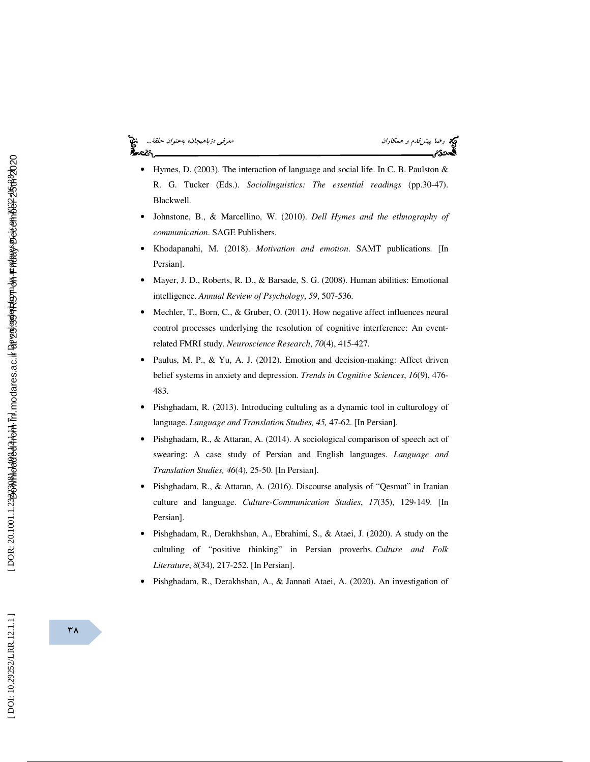

- Hymes, D. (2003). The interaction of language and social life. In C. B. Paulston & R. G. Tucker (Eds.). *Sociolinguistics: The essential readings* (pp.30-47). Blackwell.
- Johnstone, B., & Marcellino, W. (2010). *Dell Hymes and the ethnography of communication*. SAGE Publishers.
- Khodapanahi, M. (2018). *Motivation and emotion*. SAMT publications. [In Persian].
- Mayer, J. D., Roberts, R. D., & Barsade, S. G. (2008). Human abilities: Emotional intelligence. *Annual Review of Psychology*, *59*, 507-536.
- Mechler, T., Born, C., & Gruber, O. (2011). How negative affect influences neural control processes underlying the resolution of cognitive interference: An eventrelated FMRI study. *Neuroscience Research*, *70*(4), 415-427.
- Paulus, M. P., & Yu, A. J. (2012). Emotion and decision-making: Affect driven belief systems in anxiety and depression. *Trends in Cognitive Sciences*, *16*(9), 476- 483.
- Pishghadam, R. (2013). Introducing cultuling as a dynamic tool in culturology of language. *Language and Translation Studies, 45,* 47-62. [In Persian].
- Pishghadam, R., & Attaran, A. (2014). A sociological comparison of speech act of swearing: A case study of Persian and English languages. *Language and Translation Studies, 46*(4), 25-50. [In Persian].
- Pishghadam, R., & Attaran, A. (2016). Discourse analysis of "Qesmat" in Iranian culture and language. *Culture-Communication Studies*, *17*(35), 129-149. [In Persian].
- Pishghadam, R., Derakhshan, A., Ebrahimi, S., & Ataei, J. (2020). A study on the cultuling of "positive thinking" in Persian proverbs. *Culture and Folk Literature*, *8*(34), 217-252. [In Persian].
- Pishghadam, R., Derakhshan, A., & Jannati Ataei, A. (2020). An investigation of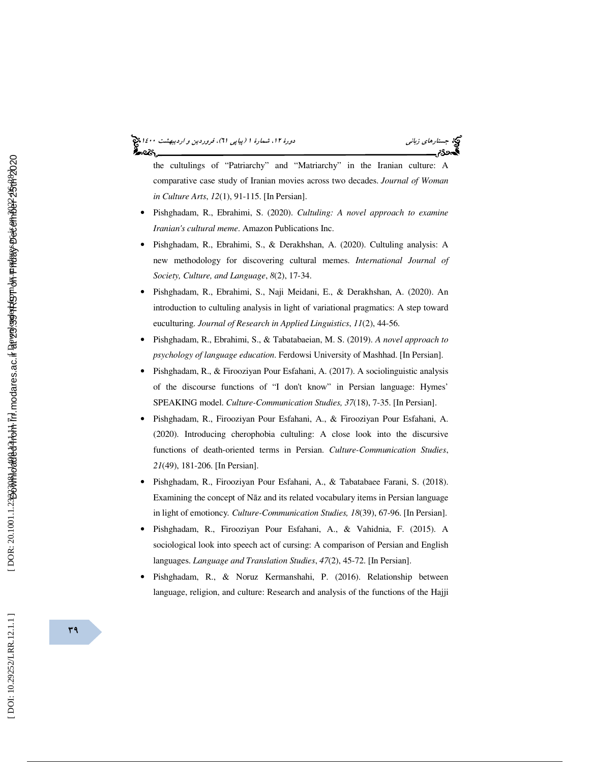# (پياپي 61)، فروردين و ارديبهشت 1400 جستارهاي زباني دورة ،12 شمارة 1

the cultulings of "Patriarchy" and "Matriarchy" in the Iranian culture: A comparative case study of Iranian movies across two decades. *Journal of Woman in Culture Arts*, *12*(1), 91-115. [In Persian].

- Pishghadam, R., Ebrahimi, S. (2020). *Cultuling: A novel approach to examine Iranian's cultural meme*. Amazon Publications Inc.
- Pishghadam, R., Ebrahimi, S., & Derakhshan, A. (2020). Cultuling analysis: A new methodology for discovering cultural memes. *International Journal of Society, Culture, and Language*, *8*(2), 17-34.
- Pishghadam, R., Ebrahimi, S., Naji Meidani, E., & Derakhshan, A. (2020). An introduction to cultuling analysis in light of variational pragmatics: A step toward euculturing. *Journal of Research in Applied Linguistics*, *11*(2), 44-56.
- Pishghadam, R., Ebrahimi, S., & Tabatabaeian, M. S. (2019). *A novel approach to psychology of language education*. Ferdowsi University of Mashhad. [In Persian].
- Pishghadam, R., & Firooziyan Pour Esfahani, A. (2017). A sociolinguistic analysis of the discourse functions of "I don't know" in Persian language: Hymes' SPEAKING model. *Culture-Communication Studies, 37*(18), 7-35. [In Persian].
- Pishghadam, R., Firooziyan Pour Esfahani, A., & Firooziyan Pour Esfahani, A. (2020). Introducing cherophobia cultuling: A close look into the discursive functions of death-oriented terms in Persian. *Culture-Communication Studies*, *21*(49), 181-206. [In Persian].
- Pishghadam, R., Firooziyan Pour Esfahani, A., & Tabatabaee Farani, S. (2018). Examining the concept of N āz and its related vocabulary items in Persian language in light of emotioncy*. Culture-Communication Studies, 18*(39), 67-96. [In Persian].
- Pishghadam, R., Firooziyan Pour Esfahani, A., & Vahidnia, F. (2015). A sociological look into speech act of cursing: A comparison of Persian and English languages. *Language and Translation Studies*, *47*(2), 45-72. [In Persian].
- Pishghadam, R., & Noruz Kermanshahi, P. (2016). Relationship between language, religion, and culture: Research and analysis of the functions of the Hajji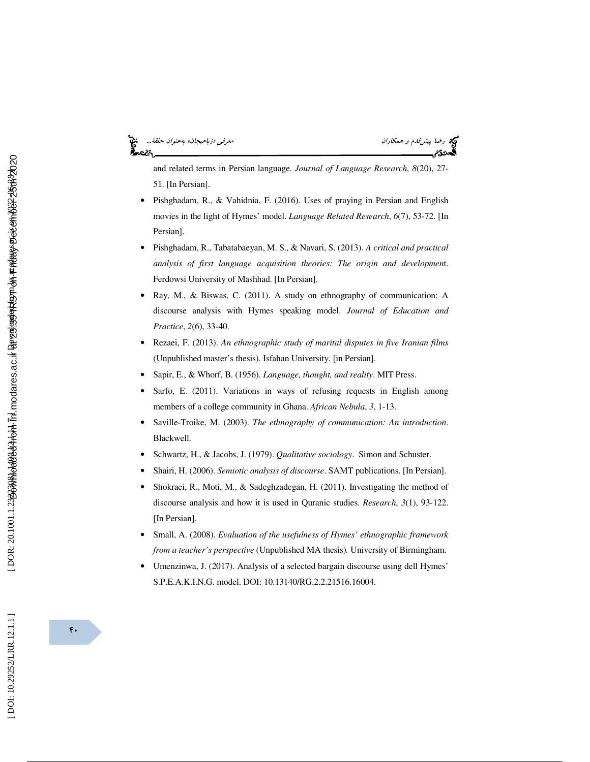# رضا پيش *قدم و همكاران معنوان حلقة...*<br>پيش معرفي معرفي معرفي معرفي معرفي «زباهيجان» بهعنوان حلقة...<br>پ**يش معرض** معرفي معرفي معرفي معرفي معرفي معرفي معرفي معرفي معرفي معرفي معرفي معرفي معرفي معرفي معرفي معرفي معرف

and related terms in Persian language. *Journal of Language Research*, *8*(20), 27- 51. [In Persian].

- Pishghadam, R., & Vahidnia, F. (2016). Uses of praying in Persian and English movies in the light of Hymes' model. *Language Related Research*, *6*(7), 53-72. [In Persian].
- Pishghadam, R., Tabatabaeyan, M. S., & Navari, S. (2013). *A critical and practical analysis of first language acquisition theories: The origin and developmen*t. Ferdowsi University of Mashhad. [In Persian].
- Ray, M., & Biswas, C. (2011). A study on ethnography of communication: A discourse analysis with Hymes speaking model. *Journal of Education and Practice*, *2*(6), 33-40.
- Rezaei, F. (2013). *An ethnographic study of marital disputes in five Iranian films*  (Unpublished master's thesis). Isfahan University. [in Persian].
- Sapir, E., & Whorf, B. (1956). *Language, thought, and reality*. MIT Press.
- Sarfo, E. (2011). Variations in ways of refusing requests in English among members of a college community in Ghana. *African Nebula*, *3*, 1-13.
- Saville-Troike, M. (2003). *The ethnography of communication: An introduction*. Blackwell.
- Schwartz, H., & Jacobs, J. (1979). *Qualitative sociology*. Simon and Schuster.
- Shairi, H. (2006). *Semiotic analysis of discourse*. SAMT publications. [In Persian].
- Shokraei, R., Moti, M., & Sadeghzadegan, H. (2011). Investigating the method of discourse analysis and how it is used in Quranic studies. *Research*, *3*(1), 93-122. [In Persian].
- Small, A. (2008). *Evaluation of the usefulness of Hymes' ethnographic framework from a teacher's perspective* (Unpublished MA thesis)*.* University of Birmingham.
- Umenzinwa, J. (2017). Analysis of a selected bargain discourse using dell Hymes' S.P.E.A.K.I.N.G. model. DOI: 10.13140/RG.2.2.21516.16004.